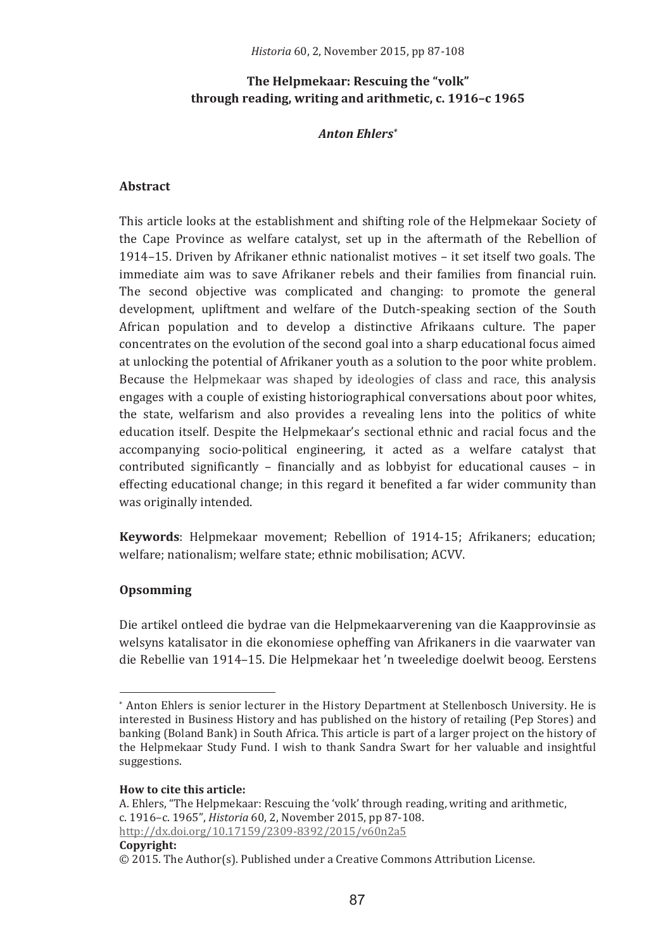# The Helpmekaar: Rescuing the "volk" through reading, writing and arithmetic, c. 1916-c 1965

#### **Anton Ehlers\***

#### Abstract

This article looks at the establishment and shifting role of the Helpmekaar Society of the Cape Province as welfare catalyst, set up in the aftermath of the Rebellion of 1914-15. Driven by Afrikaner ethnic nationalist motives - it set itself two goals. The immediate aim was to save Afrikaner rebels and their families from financial ruin. The second objective was complicated and changing; to promote the general development, upliftment and welfare of the Dutch-speaking section of the South African population and to develop a distinctive Afrikaans culture. The paper concentrates on the evolution of the second goal into a sharp educational focus aimed at unlocking the potential of Afrikaner youth as a solution to the poor white problem. Because the Helpmekaar was shaped by ideologies of class and race, this analysis engages with a couple of existing historiographical conversations about poor whites, the state, welfarism and also provides a revealing lens into the politics of white education itself. Despite the Helpmekaar's sectional ethnic and racial focus and the accompanying socio-political engineering, it acted as a welfare catalyst that contributed significantly  $-$  financially and as lobbyist for educational causes  $-$  in effecting educational change; in this regard it benefited a far wider community than was originally intended.

Keywords: Helpmekaar movement; Rebellion of 1914-15; Afrikaners; education; welfare; nationalism; welfare state; ethnic mobilisation; ACVV.

## Opsomming

Die artikel ontleed die bydrae van die Helpmekaarverening van die Kaapprovinsie as welsyns katalisator in die ekonomiese opheffing van Afrikaners in die vaarwater van die Rebellie van 1914-15. Die Helpmekaar het 'n tweeledige doelwit beoog. Eerstens

<sup>\*</sup> Anton Ehlers is senior lecturer in the History Department at Stellenbosch University. He is interested in Business History and has published on the history of retailing (Pep Stores) and banking (Boland Bank) in South Africa. This article is part of a larger project on the history of the Helpmekaar Study Fund. I wish to thank Sandra Swart for her valuable and insightful suggestions.

How to cite this article:

A. Ehlers, "The Helpmekaar: Rescuing the 'volk' through reading, writing and arithmetic, c. 1916-c. 1965". Historia 60, 2. November 2015, pp 87-108. http://dx.doi.org/10.17159/2309-8392/2015/v60n2a5

 $\odot$  2015. The Author(s). Published under a Creative Commons Attribution License.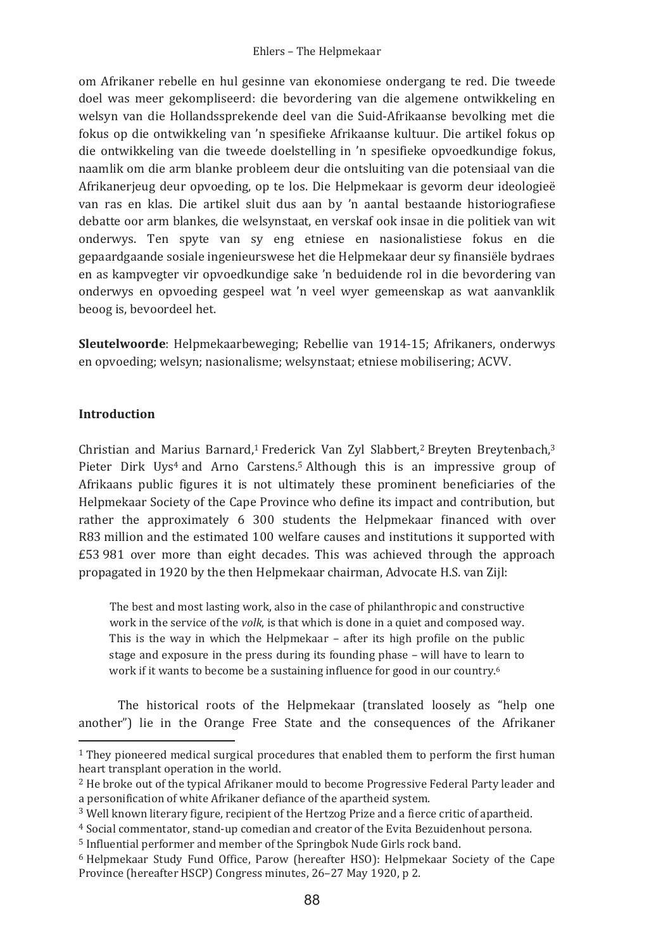om Afrikaner rebelle en hul gesinne van ekonomiese ondergang te red. Die tweede doel was meer gekompliseerd: die bevordering van die algemene ontwikkeling en welsyn van die Hollandssprekende deel van die Suid-Afrikaanse bevolking met die fokus op die ontwikkeling van 'n spesifieke Afrikaanse kultuur. Die artikel fokus op die ontwikkeling van die tweede doelstelling in 'n spesifieke opvoedkundige fokus, naamlik om die arm blanke probleem deur die ontsluiting van die potensiaal van die Afrikanerjeug deur opvoeding, op te los. Die Helpmekaar is gevorm deur ideologieë van ras en klas. Die artikel sluit dus aan by 'n aantal bestaande historiografiese debatte oor arm blankes, die welsynstaat, en verskaf ook insae in die politiek van wit onderwys. Ten spyte van sy eng etniese en nasionalistiese fokus en die gepaardgaande sosiale ingenieurswese het die Helpmekaar deur sy finansiële bydraes en as kampvegter vir opvoedkundige sake 'n beduidende rol in die bevordering van onderwys en opvoeding gespeel wat 'n veel wyer gemeenskap as wat aanvanklik beoog is, bevoordeel het.

Sleutelwoorde: Helpmekaarbeweging; Rebellie van 1914-15; Afrikaners, onderwys en opvoeding: welsyn: nasionalisme: welsynstaat: etniese mobilisering: ACVV.

### **Introduction**

Christian and Marius Barnard,<sup>1</sup> Frederick Van Zyl Slabbert,<sup>2</sup> Breyten Breytenbach,<sup>3</sup> Pieter Dirk Uys<sup>4</sup> and Arno Carstens.<sup>5</sup> Although this is an impressive group of Afrikaans public figures it is not ultimately these prominent beneficiaries of the Helpmekaar Society of the Cape Province who define its impact and contribution, but rather the approximately 6 300 students the Helpmekaar financed with over R83 million and the estimated 100 welfare causes and institutions it supported with £53 981 over more than eight decades. This was achieved through the approach propagated in 1920 by the then Helpmekaar chairman. Advocate H.S. van Ziil:

The best and most lasting work, also in the case of philanthropic and constructive work in the service of the *volk*, is that which is done in a quiet and composed way. This is the way in which the Helpmekaar - after its high profile on the public stage and exposure in the press during its founding phase - will have to learn to work if it wants to become be a sustaining influence for good in our country.<sup>6</sup>

The historical roots of the Helpmekaar (translated loosely as "help one another") lie in the Orange Free State and the consequences of the Afrikaner

<sup>&</sup>lt;sup>1</sup> They pioneered medical surgical procedures that enabled them to perform the first human heart transplant operation in the world.

<sup>&</sup>lt;sup>2</sup> He broke out of the typical Afrikaner mould to become Progressive Federal Party leader and a personification of white Afrikaner defiance of the apartheid system.

<sup>&</sup>lt;sup>3</sup> Well known literary figure, recipient of the Hertzog Prize and a fierce critic of apartheid.

<sup>&</sup>lt;sup>4</sup> Social commentator, stand-up comedian and creator of the Evita Bezuidenhout persona.

<sup>&</sup>lt;sup>5</sup> Influential performer and member of the Springbok Nude Girls rock band.

<sup>&</sup>lt;sup>6</sup> Helpmekaar Study Fund Office, Parow (hereafter HSO): Helpmekaar Society of the Cape Province (hereafter HSCP) Congress minutes, 26-27 May 1920, p 2.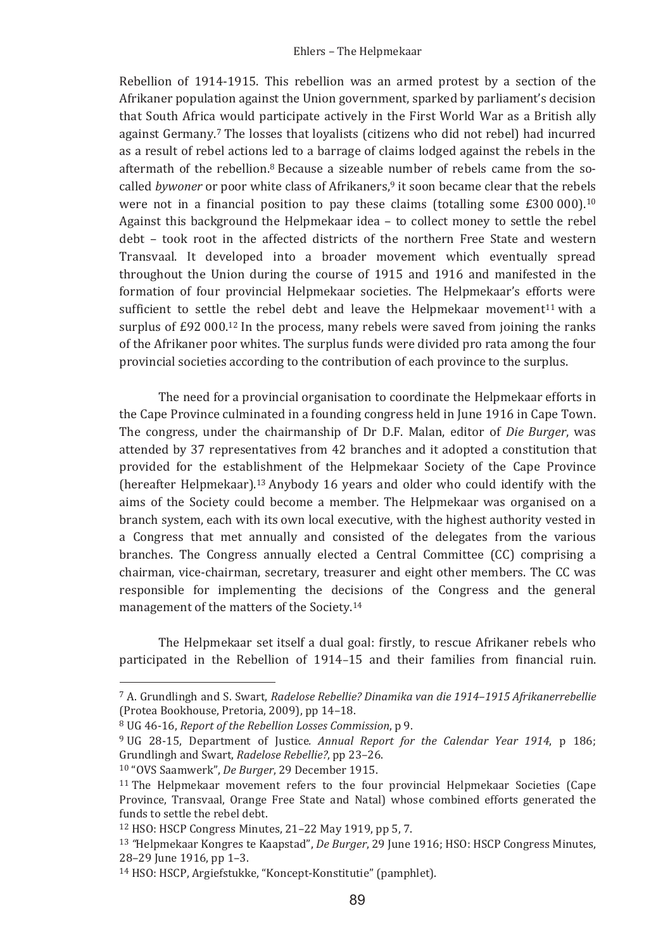Rebellion of 1914-1915. This rebellion was an armed protest by a section of the Afrikaner population against the Union government, sparked by parliament's decision that South Africa would participate actively in the First World War as a British ally against Germany.<sup>7</sup> The losses that loyalists (citizens who did not rebel) had incurred as a result of rebel actions led to a barrage of claims lodged against the rebels in the aftermath of the rebellion.<sup>8</sup> Because a sizeable number of rebels came from the socalled bywoner or poor white class of Afrikaners.<sup>9</sup> it soon became clear that the rebels were not in a financial position to pay these claims (totalling some  $E300000$ ).<sup>10</sup> Against this background the Helpmekaar idea - to collect money to settle the rebel debt - took root in the affected districts of the northern Free State and western Transvaal. It developed into a broader movement which eventually spread throughout the Union during the course of 1915 and 1916 and manifested in the formation of four provincial Helpmekaar societies. The Helpmekaar's efforts were sufficient to settle the rebel debt and leave the Helpmekaar movement<sup>11</sup> with a surplus of  $E92\ 000^{12}$  In the process, many rebels were saved from joining the ranks of the Afrikaner poor whites. The surplus funds were divided pro rata among the four provincial societies according to the contribution of each province to the surplus.

The need for a provincial organisation to coordinate the Helpmekaar efforts in the Cape Province culminated in a founding congress held in June 1916 in Cape Town. The congress, under the chairmanship of Dr D.F. Malan, editor of *Die Burger*, was attended by 37 representatives from 42 branches and it adopted a constitution that provided for the establishment of the Helpmekaar Society of the Cape Province (hereafter Helpmekaar).<sup>13</sup> Anybody 16 years and older who could identify with the aims of the Society could become a member. The Helpmekaar was organised on a branch system, each with its own local executive, with the highest authority vested in a Congress that met annually and consisted of the delegates from the various branches. The Congress annually elected a Central Committee (CC) comprising a chairman, vice-chairman, secretary, treasurer and eight other members. The CC was responsible for implementing the decisions of the Congress and the general management of the matters of the Society.<sup>14</sup>

The Helpmekaar set itself a dual goal: firstly, to rescue Afrikaner rebels who participated in the Rebellion of 1914-15 and their families from financial ruin.

<sup>&</sup>lt;sup>7</sup> A. Grundlingh and S. Swart. Radelose Rebellie? Dinamika van die 1914-1915 Afrikanerrebellie (Protea Bookhouse, Pretoria, 2009), pp 14-18.

<sup>&</sup>lt;sup>8</sup> UG 46-16, Report of the Rebellion Losses Commission, p 9.

<sup>&</sup>lt;sup>9</sup> UG 28-15. Department of Justice. Annual Report for the Calendar Year 1914. p 186: Grundlingh and Swart, Radelose Rebellie?, pp 23-26.

<sup>&</sup>lt;sup>10</sup> "OVS Saamwerk", De Burger, 29 December 1915.

<sup>&</sup>lt;sup>11</sup> The Helpmekaar movement refers to the four provincial Helpmekaar Societies (Cape Province. Transvaal, Orange Free State and Natal) whose combined efforts generated the funds to settle the rebel debt.

<sup>&</sup>lt;sup>12</sup> HSO: HSCP Congress Minutes, 21-22 May 1919, pp 5, 7.

<sup>&</sup>lt;sup>13</sup> "Helpmekaar Kongres te Kaapstad". De Burger, 29 June 1916: HSO: HSCP Congress Minutes. 28-29 June 1916, pp 1-3.

<sup>&</sup>lt;sup>14</sup> HSO: HSCP, Argiefstukke, "Koncept-Konstitutie" (pamphlet).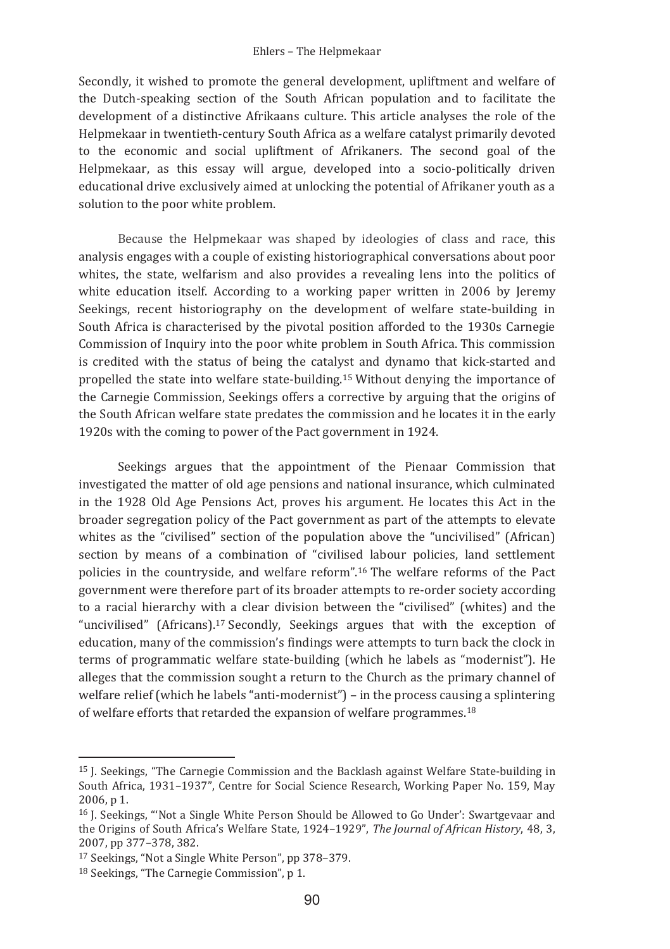#### Ehlers - The Helpmekaar

Secondly, it wished to promote the general development, upliftment and welfare of the Dutch-speaking section of the South African population and to facilitate the development of a distinctive Afrikaans culture. This article analyses the role of the Helpmekaar in twentieth-century South Africa as a welfare catalyst primarily devoted to the economic and social upliftment of Afrikaners. The second goal of the Helpmekaar, as this essay will argue, developed into a socio-politically driven educational drive exclusively aimed at unlocking the potential of Afrikaner youth as a solution to the poor white problem.

Because the Helpmekaar was shaped by ideologies of class and race, this analysis engages with a couple of existing historiographical conversations about poor whites, the state, welfarism and also provides a revealing lens into the politics of white education itself. According to a working paper written in 2006 by Jeremy Seekings, recent historiography on the development of welfare state-building in South Africa is characterised by the pivotal position afforded to the 1930s Carnegie Commission of Inquiry into the poor white problem in South Africa. This commission is credited with the status of being the catalyst and dynamo that kick-started and propelled the state into welfare state-building.<sup>15</sup> Without denying the importance of the Carnegie Commission, Seekings offers a corrective by arguing that the origins of the South African welfare state predates the commission and he locates it in the early 1920s with the coming to power of the Pact government in 1924.

Seekings argues that the appointment of the Pienaar Commission that investigated the matter of old age pensions and national insurance, which culminated in the 1928 Old Age Pensions Act, proves his argument. He locates this Act in the broader segregation policy of the Pact government as part of the attempts to elevate whites as the "civilised" section of the population above the "uncivilised" (African) section by means of a combination of "civilised labour policies, land settlement policies in the countryside, and welfare reform",<sup>16</sup> The welfare reforms of the Pact government were therefore part of its broader attempts to re-order society according to a racial hierarchy with a clear division between the "civilised" (whites) and the "uncivilised" (Africans).<sup>17</sup> Secondly, Seekings argues that with the exception of education, many of the commission's findings were attempts to turn back the clock in terms of programmatic welfare state-building (which he labels as "modernist"). He alleges that the commission sought a return to the Church as the primary channel of welfare relief (which he labels "anti-modernist") - in the process causing a splintering of welfare efforts that retarded the expansion of welfare programmes.<sup>18</sup>

<sup>&</sup>lt;sup>15</sup> J. Seekings, "The Carnegie Commission and the Backlash against Welfare State-building in South Africa, 1931-1937", Centre for Social Science Research, Working Paper No. 159, May 2006. p 1.

<sup>&</sup>lt;sup>16</sup> J. Seekings, "Not a Single White Person Should be Allowed to Go Under': Swartgevaar and the Origins of South Africa's Welfare State, 1924-1929", The Journal of African History, 48, 3, 2007, pp 377-378, 382.

<sup>&</sup>lt;sup>17</sup> Seekings, "Not a Single White Person", pp 378-379.

<sup>&</sup>lt;sup>18</sup> Seekings, "The Carnegie Commission", p 1.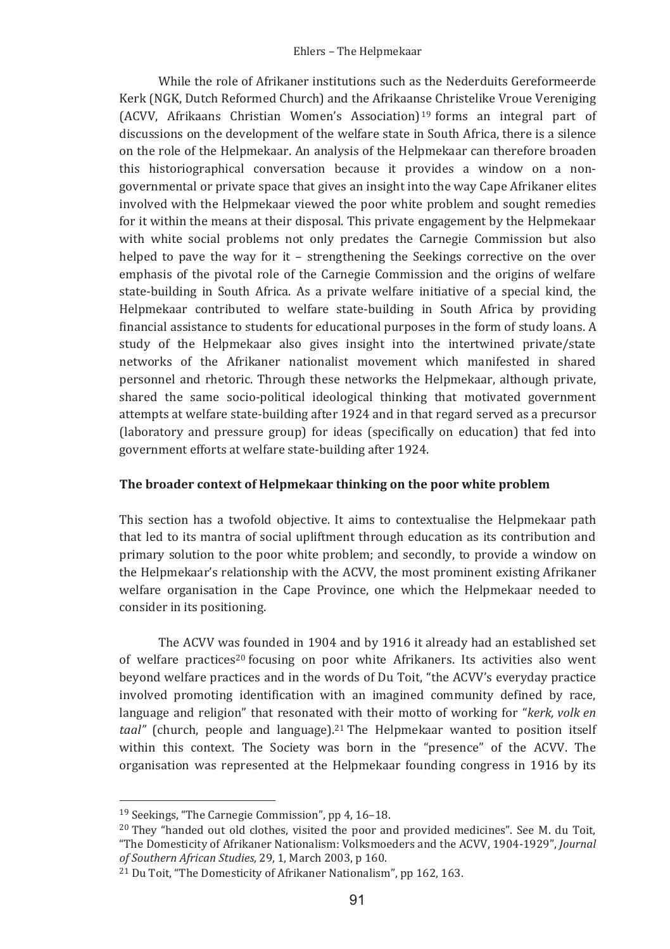While the role of Afrikaner institutions such as the Nederduits Gereformeerde Kerk (NGK, Dutch Reformed Church) and the Afrikaanse Christelike Vroue Vereniging (ACVV, Afrikaans Christian Women's Association)<sup>19</sup> forms an integral part of discussions on the development of the welfare state in South Africa, there is a silence on the role of the Helpmekaar. An analysis of the Helpmekaar can therefore broaden this historiographical conversation because it provides a window on a nongovernmental or private space that gives an insight into the way Cape Afrikaner elites involved with the Helpmekaar viewed the poor white problem and sought remedies for it within the means at their disposal. This private engagement by the Helpmekaar with white social problems not only predates the Carnegie Commission but also helped to pave the way for it – strengthening the Seekings corrective on the over emphasis of the pivotal role of the Carnegie Commission and the origins of welfare state-building in South Africa. As a private welfare initiative of a special kind, the Helpmekaar contributed to welfare state-building in South Africa by providing financial assistance to students for educational purposes in the form of study loans. A study of the Helpmekaar also gives insight into the intertwined private/state networks of the Afrikaner nationalist movement which manifested in shared personnel and rhetoric. Through these networks the Helpmekaar, although private, shared the same socio-political ideological thinking that motivated government attempts at welfare state-building after 1924 and in that regard served as a precursor (laboratory and pressure group) for ideas (specifically on education) that fed into government efforts at welfare state-building after 1924.

### The broader context of Helpmekaar thinking on the poor white problem

This section has a twofold objective. It aims to contextualise the Helpmekaar path that led to its mantra of social upliftment through education as its contribution and primary solution to the poor white problem; and secondly, to provide a window on the Helpmekaar's relationship with the ACVV, the most prominent existing Afrikaner welfare organisation in the Cape Province, one which the Helpmekaar needed to consider in its positioning.

The ACVV was founded in 1904 and by 1916 it already had an established set of welfare practices<sup>20</sup> focusing on poor white Afrikaners. Its activities also went bevond welfare practices and in the words of Du Toit. "the ACVV's everyday practice involved promoting identification with an imagined community defined by race, language and religion" that resonated with their motto of working for "kerk, volk en taal" (church, people and language).<sup>21</sup> The Helpmekaar wanted to position itself within this context. The Society was born in the "presence" of the ACVV. The organisation was represented at the Helpmekaar founding congress in 1916 by its

<sup>&</sup>lt;sup>19</sup> Seekings, "The Carnegie Commission", pp 4, 16-18.

<sup>&</sup>lt;sup>20</sup> They "handed out old clothes, visited the poor and provided medicines". See M. du Toit, "The Domesticity of Afrikaner Nationalism: Volksmoeders and the ACVV, 1904-1929", Journal of Southern African Studies, 29, 1, March 2003, p 160.

<sup>&</sup>lt;sup>21</sup> Du Toit, "The Domesticity of Afrikaner Nationalism", pp 162, 163.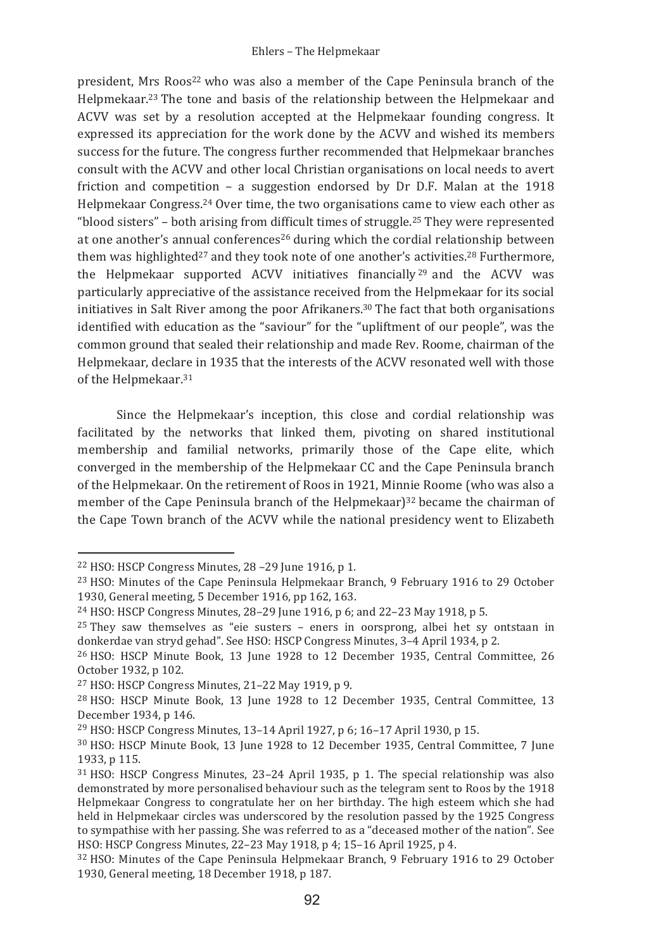president. Mrs Roos<sup>22</sup> who was also a member of the Cape Peninsula branch of the Helpmekaar.<sup>23</sup> The tone and basis of the relationship between the Helpmekaar and ACVV was set by a resolution accepted at the Helpmekaar founding congress. It expressed its appreciation for the work done by the ACVV and wished its members success for the future. The congress further recommended that Helpmekaar branches consult with the ACVV and other local Christian organisations on local needs to avert friction and competition  $-$  a suggestion endorsed by Dr D.F. Malan at the 1918 Helpmekaar Congress.<sup>24</sup> Over time, the two organisations came to view each other as "blood sisters" - both arising from difficult times of struggle.<sup>25</sup> They were represented at one another's annual conferences<sup>26</sup> during which the cordial relationship between them was highlighted<sup>27</sup> and they took note of one another's activities.<sup>28</sup> Furthermore, the Helpmekaar supported ACVV initiatives financially<sup>29</sup> and the ACVV was particularly appreciative of the assistance received from the Helpmekaar for its social initiatives in Salt River among the poor Afrikaners.<sup>30</sup> The fact that both organisations identified with education as the "saviour" for the "upliftment of our people", was the common ground that sealed their relationship and made Rev. Roome, chairman of the Helpmekaar, declare in 1935 that the interests of the ACVV resonated well with those of the Helpmekaar.<sup>31</sup>

Since the Helpmekaar's inception, this close and cordial relationship was facilitated by the networks that linked them, pivoting on shared institutional membership and familial networks, primarily those of the Cape elite, which converged in the membership of the Helpmekaar CC and the Cape Peninsula branch of the Helpmekaar. On the retirement of Roos in 1921, Minnie Roome (who was also a member of the Cape Peninsula branch of the Helpmekaar)<sup>32</sup> became the chairman of the Cape Town branch of the ACVV while the national presidency went to Elizabeth

<sup>&</sup>lt;sup>22</sup> HSO: HSCP Congress Minutes, 28-29 June 1916, p 1.

<sup>&</sup>lt;sup>23</sup> HSO: Minutes of the Cape Peninsula Helpmekaar Branch, 9 February 1916 to 29 October 1930, General meeting, 5 December 1916, pp 162, 163.

<sup>&</sup>lt;sup>24</sup> HSO: HSCP Congress Minutes, 28-29 June 1916, p 6; and 22-23 May 1918, p 5.

 $^{25}$  They saw themselves as "eie susters - eners in oorsprong, albei het sy ontstaan in donkerdae van stryd gehad". See HSO: HSCP Congress Minutes, 3-4 April 1934, p 2.

<sup>&</sup>lt;sup>26</sup> HSO: HSCP Minute Book, 13 June 1928 to 12 December 1935, Central Committee, 26 October 1932, p 102.

<sup>&</sup>lt;sup>27</sup> HSO: HSCP Congress Minutes, 21-22 May 1919, p 9.

<sup>&</sup>lt;sup>28</sup> HSO: HSCP Minute Book, 13 June 1928 to 12 December 1935, Central Committee, 13 December 1934, p 146.

<sup>&</sup>lt;sup>29</sup> HSO: HSCP Congress Minutes, 13-14 April 1927, p 6; 16-17 April 1930, p 15.

<sup>&</sup>lt;sup>30</sup> HSO: HSCP Minute Book, 13 June 1928 to 12 December 1935, Central Committee, 7 June 1933. p 115.

 $31$  HSO: HSCP Congress Minutes, 23-24 April 1935, p 1. The special relationship was also demonstrated by more personalised behaviour such as the telegram sent to Roos by the 1918 Helpmekaar Congress to congratulate her on her birthday. The high esteem which she had held in Helpmekaar circles was underscored by the resolution passed by the 1925 Congress to sympathise with her passing. She was referred to as a "deceased mother of the nation". See HSO: HSCP Congress Minutes, 22-23 May 1918, p 4; 15-16 April 1925, p 4.

<sup>&</sup>lt;sup>32</sup> HSO: Minutes of the Cape Peninsula Helpmekaar Branch, 9 February 1916 to 29 October 1930, General meeting, 18 December 1918, p 187.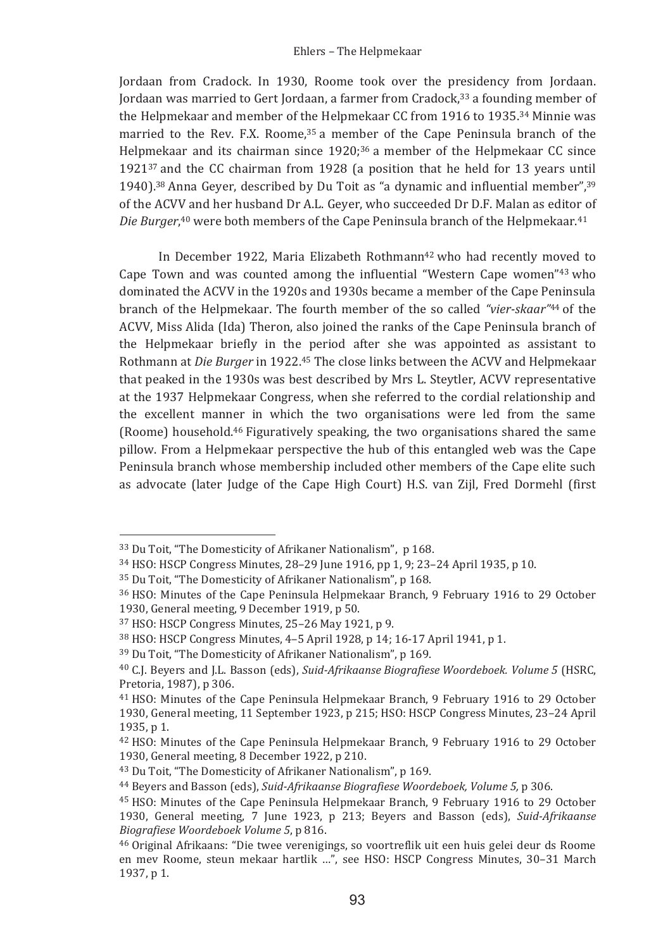Jordaan from Cradock. In 1930, Roome took over the presidency from Jordaan. Jordaan was married to Gert Jordaan, a farmer from Cradock,<sup>33</sup> a founding member of the Helpmekaar and member of the Helpmekaar CC from 1916 to 1935.<sup>34</sup> Minnie was married to the Rev. F.X. Roome, 35 a member of the Cape Peninsula branch of the Helpmekaar and its chairman since 1920;<sup>36</sup> a member of the Helpmekaar CC since 1921<sup>37</sup> and the CC chairman from 1928 (a position that he held for 13 years until 1940).<sup>38</sup> Anna Gever, described by Du Toit as "a dynamic and influential member".<sup>39</sup> of the ACVV and her husband Dr A.L. Gever, who succeeded Dr D.F. Malan as editor of Die Burger,<sup>40</sup> were both members of the Cape Peninsula branch of the Helpmekaar.<sup>41</sup>

In December 1922, Maria Elizabeth Rothmann<sup>42</sup> who had recently moved to Cape Town and was counted among the influential "Western Cape women"<sup>43</sup> who dominated the ACVV in the 1920s and 1930s became a member of the Cape Peninsula branch of the Helpmekaar. The fourth member of the so called "vier-skaar"<sup>44</sup> of the ACVV, Miss Alida (Ida) Theron, also joined the ranks of the Cape Peninsula branch of the Helpmekaar briefly in the period after she was appointed as assistant to Rothmann at *Die Burger* in 1922.<sup>45</sup> The close links between the ACVV and Helpmekaar that peaked in the 1930s was best described by Mrs L. Steytler, ACVV representative at the 1937 Helpmekaar Congress, when she referred to the cordial relationship and the excellent manner in which the two organisations were led from the same (Roome) household.<sup>46</sup> Figuratively speaking, the two organisations shared the same pillow. From a Helpmekaar perspective the hub of this entangled web was the Cape Peninsula branch whose membership included other members of the Cape elite such as advocate (later Judge of the Cape High Court) H.S. van Zijl, Fred Dormehl (first

<sup>&</sup>lt;sup>33</sup> Du Toit, "The Domesticity of Afrikaner Nationalism", p 168.

<sup>34</sup> HSO: HSCP Congress Minutes, 28-29 June 1916, pp 1, 9; 23-24 April 1935, p 10.

<sup>&</sup>lt;sup>35</sup> Du Toit. "The Domesticity of Afrikaner Nationalism", p 168.

<sup>&</sup>lt;sup>36</sup> HSO: Minutes of the Cape Peninsula Helpmekaar Branch, 9 February 1916 to 29 October 1930, General meeting, 9 December 1919, p 50.

<sup>37</sup> HSO: HSCP Congress Minutes, 25-26 May 1921, p 9.

<sup>&</sup>lt;sup>38</sup> HSO: HSCP Congress Minutes, 4-5 April 1928, p 14: 16-17 April 1941, p 1.

<sup>&</sup>lt;sup>39</sup> Du Toit, "The Domesticity of Afrikaner Nationalism", p 169.

<sup>&</sup>lt;sup>40</sup> C.J. Beyers and J.L. Basson (eds), Suid-Afrikaanse Biografiese Woordeboek. Volume 5 (HSRC, Pretoria, 1987), p 306.

<sup>&</sup>lt;sup>41</sup> HSO: Minutes of the Cape Peninsula Helpmekaar Branch, 9 February 1916 to 29 October 1930, General meeting, 11 September 1923, p 215; HSO: HSCP Congress Minutes, 23-24 April 1935. p 1.

<sup>&</sup>lt;sup>42</sup> HSO: Minutes of the Cape Peninsula Helpmekaar Branch, 9 February 1916 to 29 October 1930, General meeting, 8 December 1922, p 210.

<sup>&</sup>lt;sup>43</sup> Du Toit, "The Domesticity of Afrikaner Nationalism", p 169.

<sup>&</sup>lt;sup>44</sup> Bevers and Basson (eds), Suid-Afrikaanse Bioarafiese Woordeboek, Volume 5, p 306.

<sup>&</sup>lt;sup>45</sup> HSO: Minutes of the Cape Peninsula Helpmekaar Branch. 9 February 1916 to 29 October 1930, General meeting, 7 June 1923, p 213; Beyers and Basson (eds), Suid-Afrikaanse Biografiese Woordeboek Volume 5, p 816.

<sup>&</sup>lt;sup>46</sup> Original Afrikaans: "Die twee verenigings, so voortreflik uit een huis gelei deur ds Roome en mey Roome, steun mekaar hartlik ...", see HSO: HSCP Congress Minutes, 30-31 March 1937, p 1.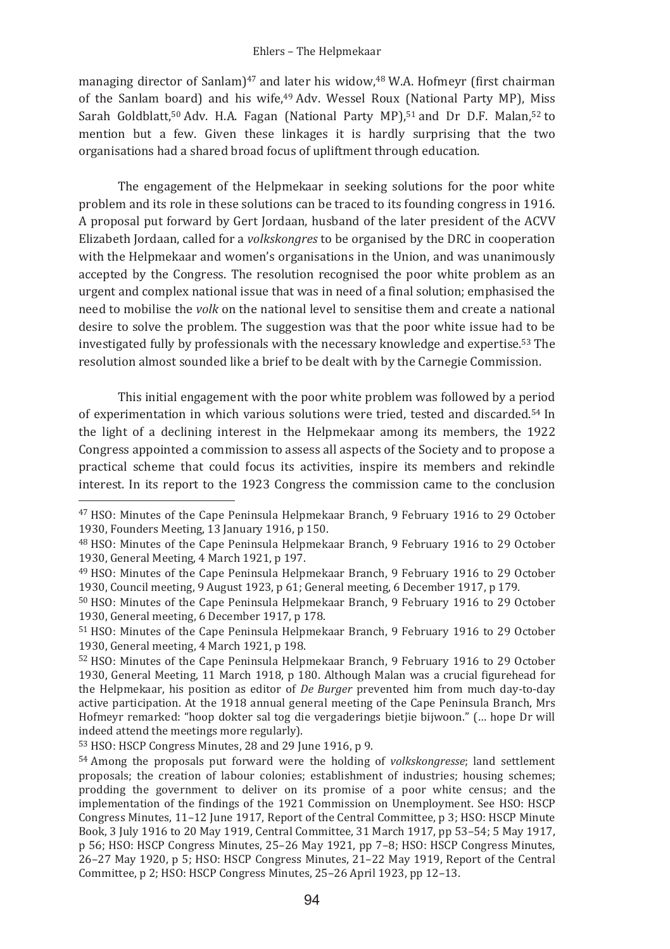#### Ehlers - The Helpmekaar

managing director of Sanlam)<sup>47</sup> and later his widow,<sup>48</sup> W.A. Hofmeyr (first chairman of the Sanlam board) and his wife,<sup>49</sup> Adv. Wessel Roux (National Party MP), Miss Sarah Goldblatt.<sup>50</sup> Adv. H.A. Fagan (National Party MP).<sup>51</sup> and Dr D.F. Malan.<sup>52</sup> to mention but a few. Given these linkages it is hardly surprising that the two organisations had a shared broad focus of upliftment through education.

The engagement of the Helpmekaar in seeking solutions for the poor white problem and its role in these solutions can be traced to its founding congress in 1916. A proposal put forward by Gert Jordaan, husband of the later president of the ACVV Elizabeth Jordaan, called for a volkskongres to be organised by the DRC in cooperation with the Helpmekaar and women's organisations in the Union, and was unanimously accepted by the Congress. The resolution recognised the poor white problem as an urgent and complex national issue that was in need of a final solution: emphasised the need to mobilise the volk on the national level to sensitise them and create a national desire to solve the problem. The suggestion was that the poor white issue had to be investigated fully by professionals with the necessary knowledge and expertise.<sup>53</sup> The resolution almost sounded like a brief to be dealt with by the Carnegie Commission.

This initial engagement with the poor white problem was followed by a period of experimentation in which various solutions were tried, tested and discarded.<sup>54</sup> In the light of a declining interest in the Helpmekaar among its members, the 1922 Congress appointed a commission to assess all aspects of the Society and to propose a practical scheme that could focus its activities, inspire its members and rekindle interest. In its report to the 1923 Congress the commission came to the conclusion

<sup>53</sup> HSO: HSCP Congress Minutes, 28 and 29 June 1916, p 9.

<sup>&</sup>lt;sup>47</sup> HSO: Minutes of the Cape Peninsula Helpmekaar Branch, 9 February 1916 to 29 October 1930, Founders Meeting, 13 January 1916, p 150.

<sup>&</sup>lt;sup>48</sup> HSO: Minutes of the Cape Peninsula Helpmekaar Branch. 9 February 1916 to 29 October 1930. General Meeting. 4 March 1921. p 197.

<sup>&</sup>lt;sup>49</sup> HSO: Minutes of the Cape Peninsula Helpmekaar Branch, 9 February 1916 to 29 October 1930, Council meeting, 9 August 1923, p 61; General meeting, 6 December 1917, p 179.

<sup>&</sup>lt;sup>50</sup> HSO: Minutes of the Cape Peninsula Helpmekaar Branch. 9 February 1916 to 29 October 1930, General meeting, 6 December 1917, p 178.

<sup>51</sup> HSO: Minutes of the Cape Peninsula Helpmekaar Branch, 9 February 1916 to 29 October 1930, General meeting, 4 March 1921, p 198.

<sup>&</sup>lt;sup>52</sup> HSO: Minutes of the Cape Peninsula Helpmekaar Branch, 9 February 1916 to 29 October 1930, General Meeting, 11 March 1918, p 180. Although Malan was a crucial figurehead for the Helpmekaar, his position as editor of *De Burger* prevented him from much day-to-day active participation. At the 1918 annual general meeting of the Cape Peninsula Branch, Mrs Hofmeyr remarked: "hoop dokter sal tog die vergaderings bietije bijwoon." (... hope Dr will indeed attend the meetings more regularly).

<sup>&</sup>lt;sup>54</sup> Among the proposals put forward were the holding of *volkskongresse*; land settlement proposals; the creation of labour colonies; establishment of industries; housing schemes; prodding the government to deliver on its promise of a poor white census; and the implementation of the findings of the 1921 Commission on Unemployment, See HSO: HSCP Congress Minutes, 11-12 June 1917. Report of the Central Committee, p 3: HSO: HSCP Minute Book, 3 July 1916 to 20 May 1919, Central Committee, 31 March 1917, pp 53-54; 5 May 1917, p 56; HSO: HSCP Congress Minutes, 25-26 May 1921, pp 7-8; HSO: HSCP Congress Minutes, 26-27 May 1920, p 5; HSO: HSCP Congress Minutes, 21-22 May 1919, Report of the Central Committee, p 2; HSO: HSCP Congress Minutes, 25-26 April 1923, pp 12-13.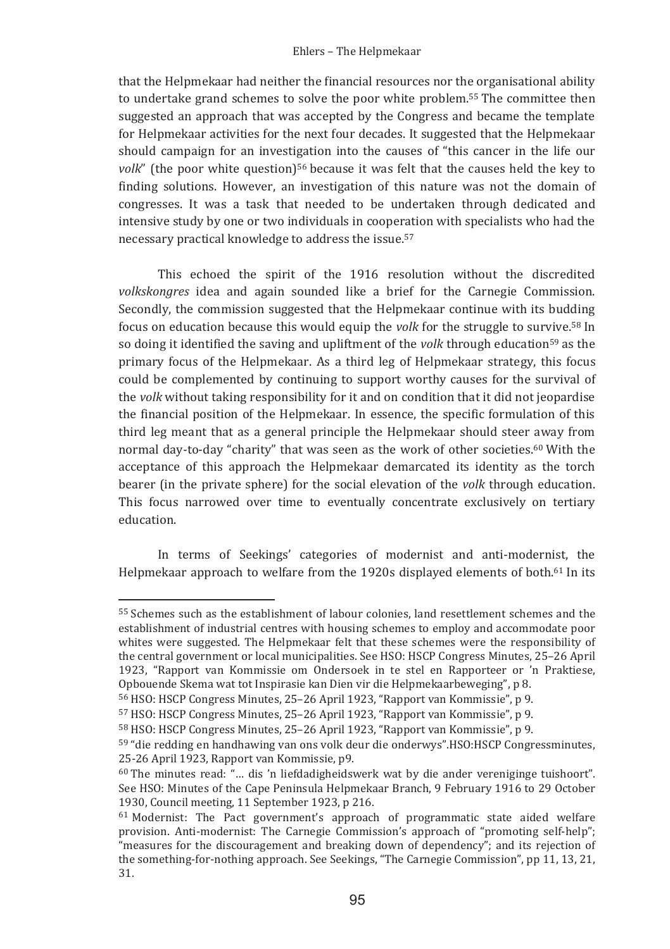that the Helpmekaar had neither the financial resources nor the organisational ability to undertake grand schemes to solve the poor white problem.<sup>55</sup> The committee then suggested an approach that was accepted by the Congress and became the template for Helpmekaar activities for the next four decades. It suggested that the Helpmekaar should campaign for an investigation into the causes of "this cancer in the life our volk" (the poor white question)<sup>56</sup> because it was felt that the causes held the key to finding solutions. However, an investigation of this nature was not the domain of congresses. It was a task that needed to be undertaken through dedicated and intensive study by one or two individuals in cooperation with specialists who had the necessary practical knowledge to address the issue.<sup>57</sup>

This echoed the spirit of the 1916 resolution without the discredited volkskongres idea and again sounded like a brief for the Carnegie Commission. Secondly, the commission suggested that the Helpmekaar continue with its budding focus on education because this would equip the *volk* for the struggle to survive.<sup>58</sup> In so doing it identified the saving and upliftment of the volk through education<sup>59</sup> as the primary focus of the Helpmekaar. As a third leg of Helpmekaar strategy, this focus could be complemented by continuing to support worthy causes for the survival of the volk without taking responsibility for it and on condition that it did not jeopardise the financial position of the Helpmekaar. In essence, the specific formulation of this third leg meant that as a general principle the Helpmekaar should steer away from normal day-to-day "charity" that was seen as the work of other societies.<sup>60</sup> With the acceptance of this approach the Helpmekaar demarcated its identity as the torch bearer (in the private sphere) for the social elevation of the volk through education. This focus narrowed over time to eventually concentrate exclusively on tertiary education.

In terms of Seekings' categories of modernist and anti-modernist, the Helpmekaar approach to welfare from the 1920s displayed elements of both.<sup>61</sup> In its

<sup>&</sup>lt;sup>55</sup> Schemes such as the establishment of labour colonies, land resettlement schemes and the establishment of industrial centres with housing schemes to employ and accommodate poor whites were suggested. The Helpmekaar felt that these schemes were the responsibility of the central government or local municipalities. See HSO: HSCP Congress Minutes, 25-26 April 1923, "Rapport van Kommissie om Ondersoek in te stel en Rapporteer or 'n Praktiese, Opbouende Skema wat tot Inspirasie kan Dien vir die Helpmekaarbeweging", p 8.

<sup>&</sup>lt;sup>56</sup> HSO: HSCP Congress Minutes, 25-26 April 1923, "Rapport van Kommissie", p 9.

<sup>&</sup>lt;sup>57</sup> HSO: HSCP Congress Minutes, 25-26 April 1923, "Rapport van Kommissie", p 9.

<sup>&</sup>lt;sup>58</sup> HSO: HSCP Congress Minutes, 25-26 April 1923, "Rapport van Kommissie", p 9.

<sup>59 &</sup>quot;die redding en handhawing van ons volk deur die onderwys".HSO:HSCP Congressminutes. 25-26 April 1923. Rapport van Kommissie, p9.

 $60$  The minutes read: "... dis 'n liefdadigheidswerk wat by die ander vereniginge tuishoort". See HSO: Minutes of the Cape Peninsula Helpmekaar Branch, 9 February 1916 to 29 October 1930. Council meeting. 11 September 1923. p 216.

<sup>&</sup>lt;sup>61</sup> Modernist: The Pact government's approach of programmatic state aided welfare provision. Anti-modernist: The Carnegie Commission's approach of "promoting self-help"; "measures for the discouragement and breaking down of dependency"; and its rejection of the something-for-nothing approach. See Seekings, "The Carnegie Commission", pp 11, 13, 21. 31.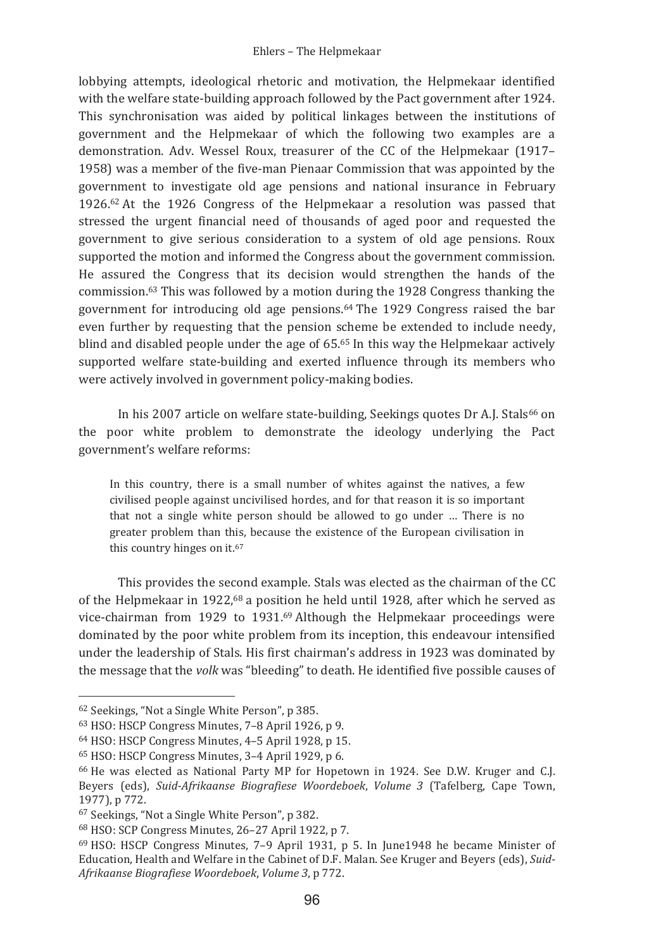lobbying attempts, ideological rhetoric and motivation, the Helpmekaar identified with the welfare state-building approach followed by the Pact government after 1924. This synchronisation was aided by political linkages between the institutions of government and the Helpmekaar of which the following two examples are a demonstration. Adv. Wessel Roux, treasurer of the CC of the Helpmekaar (1917-1958) was a member of the five-man Pienaar Commission that was appointed by the government to investigate old age pensions and national insurance in February 1926.<sup>62</sup> At the 1926 Congress of the Helpmekaar a resolution was passed that stressed the urgent financial need of thousands of aged poor and requested the government to give serious consideration to a system of old age pensions. Roux supported the motion and informed the Congress about the government commission. He assured the Congress that its decision would strengthen the hands of the commission.<sup>63</sup> This was followed by a motion during the 1928 Congress thanking the government for introducing old age pensions.<sup>64</sup> The 1929 Congress raised the bar even further by requesting that the pension scheme be extended to include needy, blind and disabled people under the age of 65.65 In this way the Helpmekaar actively supported welfare state-building and exerted influence through its members who were actively involved in government policy-making bodies.

In his 2007 article on welfare state-building. Seekings quotes Dr A.J. Stals<sup>66</sup> on the poor white problem to demonstrate the ideology underlying the Pact government's welfare reforms:

In this country, there is a small number of whites against the natives, a few civilised people against uncivilised hordes, and for that reason it is so important that not a single white person should be allowed to go under ... There is no greater problem than this, because the existence of the European civilisation in this country hinges on it.<sup>67</sup>

This provides the second example. Stals was elected as the chairman of the CC of the Helpmekaar in 1922,<sup>68</sup> a position he held until 1928, after which he served as vice-chairman from 1929 to 1931.69 Although the Helpmekaar proceedings were dominated by the poor white problem from its inception, this endeavour intensified under the leadership of Stals. His first chairman's address in 1923 was dominated by the message that the volk was "bleeding" to death. He identified five possible causes of

<sup>&</sup>lt;sup>62</sup> Seekings, "Not a Single White Person", p 385.

<sup>63</sup> HSO: HSCP Congress Minutes, 7-8 April 1926, p 9.

<sup>&</sup>lt;sup>64</sup> HSO: HSCP Congress Minutes, 4-5 April 1928, p 15.

<sup>&</sup>lt;sup>65</sup> HSO: HSCP Congress Minutes, 3-4 April 1929, p 6.

<sup>&</sup>lt;sup>66</sup> He was elected as National Party MP for Hopetown in 1924. See D.W. Kruger and C.I. Beyers (eds), Suid-Afrikaanse Biografiese Woordeboek, Volume 3 (Tafelberg, Cape Town, 1977), p 772.

<sup>&</sup>lt;sup>67</sup> Seekings, "Not a Single White Person", p 382.

<sup>68</sup> HSO: SCP Congress Minutes, 26-27 April 1922, p 7.

<sup>69</sup> HSO: HSCP Congress Minutes, 7-9 April 1931, p 5. In June1948 he became Minister of Education. Health and Welfare in the Cabinet of D.F. Malan. See Kruger and Bevers (eds), Suid-Afrikaanse Biografiese Woordeboek, Volume 3, p 772.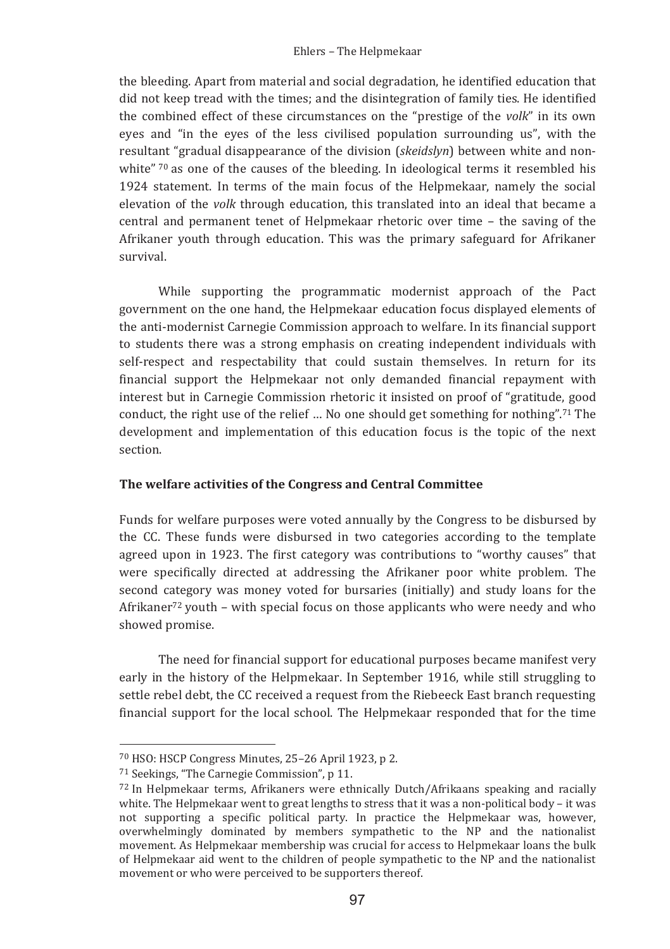the bleeding. Apart from material and social degradation, he identified education that did not keep tread with the times; and the disintegration of family ties. He identified the combined effect of these circumstances on the "prestige of the volk" in its own eyes and "in the eyes of the less civilised population surrounding us", with the resultant "gradual disappearance of the division (skeidslyn) between white and nonwhite" 70 as one of the causes of the bleeding. In ideological terms it resembled his 1924 statement. In terms of the main focus of the Helpmekaar, namely the social elevation of the *volk* through education, this translated into an ideal that became a central and permanent tenet of Helpmekaar rhetoric over time - the saving of the Afrikaner youth through education. This was the primary safeguard for Afrikaner survival

While supporting the programmatic modernist approach of the Pact government on the one hand, the Helpmekaar education focus displayed elements of the anti-modernist Carnegie Commission approach to welfare. In its financial support to students there was a strong emphasis on creating independent individuals with self-respect and respectability that could sustain themselves. In return for its financial support the Helpmekaar not only demanded financial repayment with interest but in Carnegie Commission rhetoric it insisted on proof of "gratitude, good conduct, the right use of the relief ... No one should get something for nothing".<sup>71</sup> The development and implementation of this education focus is the topic of the next section.

## The welfare activities of the Congress and Central Committee

Funds for welfare purposes were voted annually by the Congress to be disbursed by the CC. These funds were disbursed in two categories according to the template agreed upon in 1923. The first category was contributions to "worthy causes" that were specifically directed at addressing the Afrikaner poor white problem. The second category was money voted for bursaries (initially) and study loans for the Afrikaner<sup>72</sup> youth - with special focus on those applicants who were needy and who showed promise.

The need for financial support for educational purposes became manifest very early in the history of the Helpmekaar. In September 1916, while still struggling to settle rebel debt, the CC received a request from the Riebeeck East branch requesting financial support for the local school. The Helpmekaar responded that for the time

<sup>70</sup> HSO: HSCP Congress Minutes, 25-26 April 1923, p 2.

<sup>71</sup> Seekings, "The Carnegie Commission", p 11.

<sup>72</sup> In Helpmekaar terms, Afrikaners were ethnically Dutch/Afrikaans speaking and racially white. The Helpmekaar went to great lengths to stress that it was a non-political body – it was not supporting a specific political party. In practice the Helpmekaar was, however, overwhelmingly dominated by members sympathetic to the NP and the nationalist movement. As Helpmekaar membership was crucial for access to Helpmekaar loans the bulk of Helpmekaar aid went to the children of people sympathetic to the NP and the nationalist movement or who were perceived to be supporters thereof.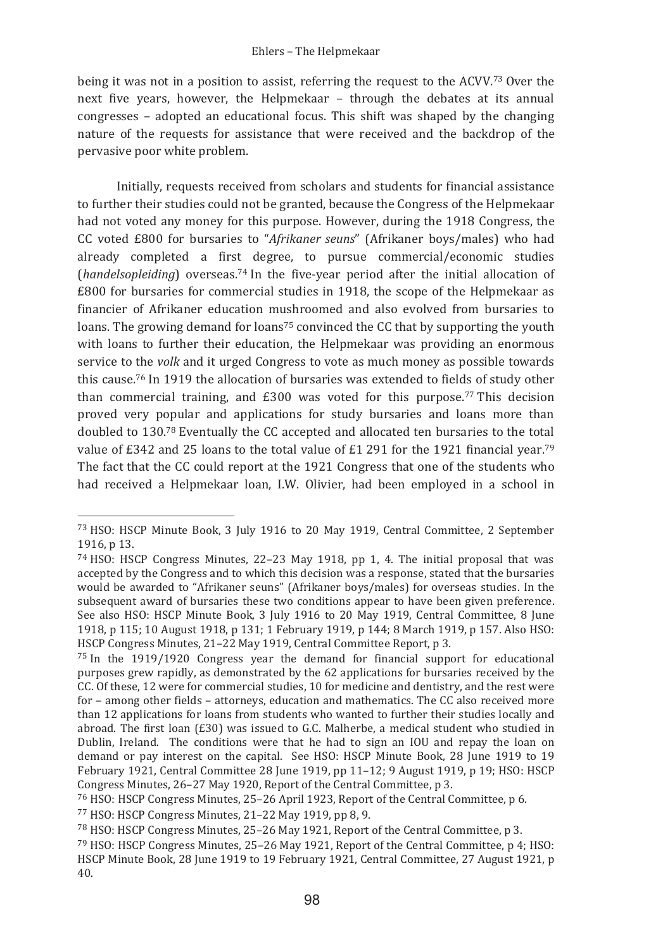#### Ehlers - The Helpmekaar

being it was not in a position to assist, referring the request to the ACVV.<sup>73</sup> Over the next five years, however, the Helpmekaar - through the debates at its annual congresses – adopted an educational focus. This shift was shaped by the changing nature of the requests for assistance that were received and the backdrop of the pervasive poor white problem.

Initially, requests received from scholars and students for financial assistance to further their studies could not be granted, because the Congress of the Helpmekaar had not voted any money for this purpose. However, during the 1918 Congress, the CC voted £800 for bursaries to "Afrikaner seuns" (Afrikaner boys/males) who had already completed a first degree, to pursue commercial/economic studies (handelsopleiding) overseas.<sup>74</sup> In the five-year period after the initial allocation of £800 for bursaries for commercial studies in 1918, the scope of the Helpmekaar as financier of Afrikaner education mushroomed and also evolved from bursaries to loans. The growing demand for loans<sup>75</sup> convinced the CC that by supporting the youth with loans to further their education, the Helpmekaar was providing an enormous service to the *volk* and it urged Congress to vote as much money as possible towards this cause.<sup>76</sup> In 1919 the allocation of bursaries was extended to fields of study other than commercial training, and £300 was voted for this purpose.<sup>77</sup> This decision proved very popular and applications for study bursaries and loans more than doubled to 130.78 Eventually the CC accepted and allocated ten bursaries to the total value of £342 and 25 loans to the total value of £1 291 for the 1921 financial year.<sup>79</sup> The fact that the CC could report at the 1921 Congress that one of the students who had received a Helpmekaar loan, I.W. Olivier, had been employed in a school in

<sup>&</sup>lt;sup>73</sup> HSO: HSCP Minute Book, 3 July 1916 to 20 May 1919, Central Committee, 2 September 1916, p 13.

 $74$  HSO: HSCP Congress Minutes, 22-23 May 1918, pp 1, 4. The initial proposal that was accepted by the Congress and to which this decision was a response, stated that the bursaries would be awarded to "Afrikaner seuns" (Afrikaner boys/males) for overseas studies. In the subsequent award of bursaries these two conditions appear to have been given preference. See also HSO: HSCP Minute Book, 3 July 1916 to 20 May 1919, Central Committee, 8 June 1918, p 115; 10 August 1918, p 131; 1 February 1919, p 144; 8 March 1919, p 157. Also HSO: HSCP Congress Minutes, 21-22 May 1919, Central Committee Report, p 3.

 $75$  In the 1919/1920 Congress year the demand for financial support for educational purposes grew rapidly, as demonstrated by the 62 applications for bursaries received by the CC. Of these, 12 were for commercial studies, 10 for medicine and dentistry, and the rest were for – among other fields – attorneys, education and mathematics. The CC also received more than 12 applications for loans from students who wanted to further their studies locally and abroad. The first loan  $(£30)$  was issued to G.C. Malherbe, a medical student who studied in Dublin, Ireland. The conditions were that he had to sign an IOU and repay the loan on demand or pay interest on the capital. See HSO: HSCP Minute Book, 28 June 1919 to 19 February 1921, Central Committee 28 June 1919, pp 11-12; 9 August 1919, p 19; HSO: HSCP Congress Minutes, 26-27 May 1920, Report of the Central Committee, p 3.

<sup>&</sup>lt;sup>76</sup> HSO: HSCP Congress Minutes, 25-26 April 1923, Report of the Central Committee, p 6.

<sup>77</sup> HSO: HSCP Congress Minutes, 21-22 May 1919, pp 8, 9.

<sup>&</sup>lt;sup>78</sup> HSO: HSCP Congress Minutes, 25-26 May 1921, Report of the Central Committee, p 3.

<sup>79</sup> HSO: HSCP Congress Minutes, 25-26 May 1921, Report of the Central Committee, p 4; HSO: HSCP Minute Book. 28 June 1919 to 19 February 1921. Central Committee. 27 August 1921. p  $40.$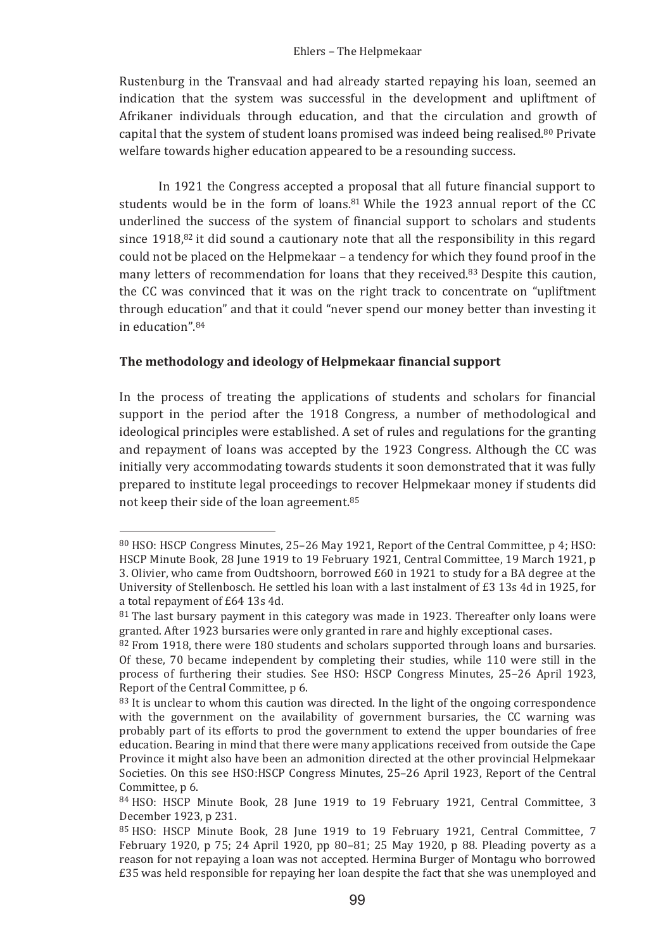Rustenburg in the Transvaal and had already started repaying his loan, seemed an indication that the system was successful in the development and upliftment of Afrikaner individuals through education, and that the circulation and growth of capital that the system of student loans promised was indeed being realised.<sup>80</sup> Private welfare towards higher education appeared to be a resounding success.

In 1921 the Congress accepted a proposal that all future financial support to students would be in the form of loans.<sup>81</sup> While the 1923 annual report of the CC underlined the success of the system of financial support to scholars and students since 1918,82 it did sound a cautionary note that all the responsibility in this regard could not be placed on the Helpmekaar - a tendency for which they found proof in the many letters of recommendation for loans that they received.<sup>83</sup> Despite this caution, the CC was convinced that it was on the right track to concentrate on "upliftment through education" and that it could "never spend our money better than investing it in education" 84

# The methodology and ideology of Helpmekaar financial support

In the process of treating the applications of students and scholars for financial support in the period after the 1918 Congress, a number of methodological and ideological principles were established. A set of rules and regulations for the granting and repayment of loans was accepted by the 1923 Congress. Although the CC was initially very accommodating towards students it soon demonstrated that it was fully prepared to institute legal proceedings to recover Helpmekaar money if students did not keep their side of the loan agreement.<sup>85</sup>

<sup>80</sup> HSO: HSCP Congress Minutes, 25-26 May 1921, Report of the Central Committee, p 4; HSO: HSCP Minute Book, 28 June 1919 to 19 February 1921, Central Committee, 19 March 1921, p 3. Olivier, who came from Oudtshoorn, borrowed £60 in 1921 to study for a BA degree at the University of Stellenbosch. He settled his loan with a last instalment of £3 13s 4d in 1925, for a total repayment of £64 13s 4d.

<sup>81</sup> The last bursary payment in this category was made in 1923. Thereafter only loans were granted. After 1923 bursaries were only granted in rare and highly exceptional cases.

 $82$  From 1918, there were 180 students and scholars supported through loans and bursaries. Of these, 70 became independent by completing their studies, while 110 were still in the process of furthering their studies. See HSO: HSCP Congress Minutes, 25-26 April 1923, Report of the Central Committee, p 6.

<sup>&</sup>lt;sup>83</sup> It is unclear to whom this caution was directed. In the light of the ongoing correspondence with the government on the availability of government bursaries, the CC warning was probably part of its efforts to prod the government to extend the upper boundaries of free education. Bearing in mind that there were many applications received from outside the Cape Province it might also have been an admonition directed at the other provincial Helpmekaar Societies. On this see HSO:HSCP Congress Minutes, 25-26 April 1923, Report of the Central Committee, p 6.

<sup>&</sup>lt;sup>84</sup> HSO: HSCP Minute Book, 28 June 1919 to 19 February 1921, Central Committee, 3 December 1923, p 231.

<sup>&</sup>lt;sup>85</sup> HSO: HSCP Minute Book, 28 June 1919 to 19 February 1921, Central Committee, 7 February 1920, p 75; 24 April 1920, pp 80-81; 25 May 1920, p 88. Pleading poverty as a reason for not repaying a loan was not accepted. Hermina Burger of Montagu who borrowed £35 was held responsible for repaying her loan despite the fact that she was unemployed and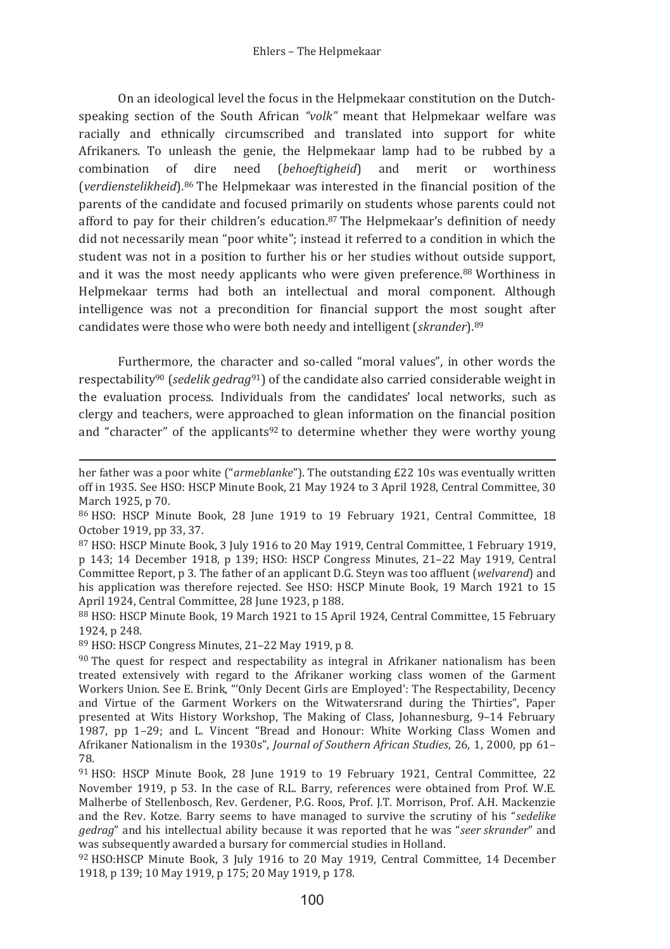On an ideological level the focus in the Helpmekaar constitution on the Dutchspeaking section of the South African "volk" meant that Helpmekaar welfare was racially and ethnically circumscribed and translated into support for white Afrikaners. To unleash the genie, the Helpmekaar lamp had to be rubbed by a combination of dire need (behoeftigheid) and merit or worthiness (verdienstelikheid).<sup>86</sup> The Helpmekaar was interested in the financial position of the parents of the candidate and focused primarily on students whose parents could not afford to pay for their children's education.<sup>87</sup> The Helpmekaar's definition of needy did not necessarily mean "poor white"; instead it referred to a condition in which the student was not in a position to further his or her studies without outside support, and it was the most needy applicants who were given preference.<sup>88</sup> Worthiness in Helpmekaar terms had both an intellectual and moral component. Although intelligence was not a precondition for financial support the most sought after candidates were those who were both needy and intelligent (skrander). 89

Furthermore, the character and so-called "moral values", in other words the respectability<sup>90</sup> (sedelik gedrag<sup>91</sup>) of the candidate also carried considerable weight in the evaluation process. Individuals from the candidates' local networks, such as clergy and teachers, were approached to glean information on the financial position and "character" of the applicants<sup>92</sup> to determine whether they were worthy young

89 HSO: HSCP Congress Minutes, 21-22 May 1919, p 8.

her father was a poor white ("armeblanke"). The outstanding £22 10s was eventually written off in 1935. See HSO: HSCP Minute Book, 21 May 1924 to 3 April 1928, Central Committee, 30 March 1925, p 70.

<sup>86</sup> HSO: HSCP Minute Book, 28 June 1919 to 19 February 1921, Central Committee, 18 October 1919, pp 33, 37.

<sup>&</sup>lt;sup>87</sup> HSO: HSCP Minute Book, 3 July 1916 to 20 May 1919, Central Committee, 1 February 1919, p 143: 14 December 1918, p 139: HSO: HSCP Congress Minutes, 21-22 May 1919, Central Committee Report, p 3. The father of an applicant D.G. Steyn was too affluent (welvarend) and his application was therefore rejected. See HSO: HSCP Minute Book, 19 March 1921 to 15 April 1924. Central Committee, 28 June 1923, p 188.

<sup>88</sup> HSO: HSCP Minute Book, 19 March 1921 to 15 April 1924, Central Committee, 15 February 1924, p 248.

 $90$  The quest for respect and respectability as integral in Afrikaner nationalism has been treated extensively with regard to the Afrikaner working class women of the Garment Workers Union, See E. Brink. "Only Decent Girls are Employed': The Respectability. Decency and Virtue of the Garment Workers on the Witwatersrand during the Thirties", Paper presented at Wits History Workshop. The Making of Class, Johannesburg, 9-14 February 1987, pp 1-29; and L. Vincent "Bread and Honour: White Working Class Women and Afrikaner Nationalism in the 1930s", Journal of Southern African Studies, 26, 1, 2000, pp 61-78.

<sup>91</sup> HSO: HSCP Minute Book, 28 June 1919 to 19 February 1921, Central Committee, 22 November 1919, p 53. In the case of R.L. Barry, references were obtained from Prof. W.E. Malherbe of Stellenbosch, Rev. Gerdener, P.G. Roos, Prof. I.T. Morrison, Prof. A.H. Mackenzie and the Rev. Kotze. Barry seems to have managed to survive the scrutiny of his "sedelike gedrag" and his intellectual ability because it was reported that he was "seer skrander" and was subsequently awarded a bursary for commercial studies in Holland.

<sup>92</sup> HSO:HSCP Minute Book, 3 July 1916 to 20 May 1919, Central Committee, 14 December 1918, p 139; 10 May 1919, p 175; 20 May 1919, p 178.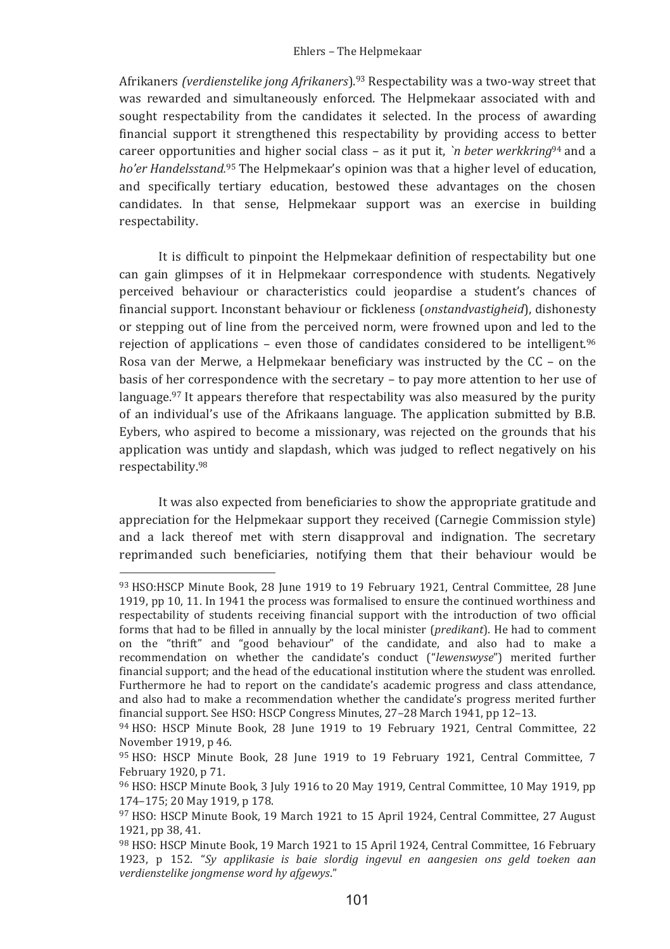Afrikaners (verdienstelike jong Afrikaners).<sup>93</sup> Respectability was a two-way street that was rewarded and simultaneously enforced. The Helpmekaar associated with and sought respectability from the candidates it selected. In the process of awarding financial support it strengthened this respectability by providing access to better career opportunities and higher social class – as it put it, 'n beter werkkring<sup>94</sup> and a ho'er Handelsstand.<sup>95</sup> The Helpmekaar's opinion was that a higher level of education, and specifically tertiary education, bestowed these advantages on the chosen candidates. In that sense, Helpmekaar support was an exercise in building respectability.

It is difficult to pinpoint the Helpmekaar definition of respectability but one can gain glimpses of it in Helpmekaar correspondence with students. Negatively perceived behaviour or characteristics could jeopardise a student's chances of financial support. Inconstant behaviour or fickleness (onstandvastigheid), dishonesty or stepping out of line from the perceived norm, were frowned upon and led to the rejection of applications - even those of candidates considered to be intelligent.96 Rosa van der Merwe, a Helpmekaar beneficiary was instructed by the  $CC - on$  the basis of her correspondence with the secretary - to pay more attention to her use of language.<sup>97</sup> It appears therefore that respectability was also measured by the purity of an individual's use of the Afrikaans language. The application submitted by B.B. Eybers, who aspired to become a missionary, was rejected on the grounds that his application was untidy and slapdash, which was judged to reflect negatively on his respectability.98

It was also expected from beneficiaries to show the appropriate gratitude and appreciation for the Helpmekaar support they received (Carnegie Commission style) and a lack thereof met with stern disapproval and indignation. The secretary reprimanded such beneficiaries, notifying them that their behaviour would be

<sup>93</sup> HSO:HSCP Minute Book, 28 June 1919 to 19 February 1921, Central Committee, 28 June 1919, pp 10, 11. In 1941 the process was formalised to ensure the continued worthiness and respectability of students receiving financial support with the introduction of two official forms that had to be filled in annually by the local minister (predikant). He had to comment on the "thrift" and "good behaviour" of the candidate, and also had to make a recommendation on whether the candidate's conduct ("lewenswyse") merited further financial support; and the head of the educational institution where the student was enrolled. Furthermore he had to report on the candidate's academic progress and class attendance, and also had to make a recommendation whether the candidate's progress merited further financial support. See HSO: HSCP Congress Minutes, 27-28 March 1941, pp 12-13.

<sup>94</sup> HSO: HSCP Minute Book, 28 June 1919 to 19 February 1921, Central Committee, 22 November 1919, p 46.

<sup>95</sup> HSO: HSCP Minute Book, 28 June 1919 to 19 February 1921, Central Committee, 7 February 1920, p 71.

<sup>96</sup> HSO: HSCP Minute Book, 3 July 1916 to 20 May 1919, Central Committee, 10 May 1919, pp 174-175; 20 May 1919, p 178.

<sup>97</sup> HSO: HSCP Minute Book, 19 March 1921 to 15 April 1924, Central Committee, 27 August 1921, pp 38, 41.

<sup>98</sup> HSO: HSCP Minute Book, 19 March 1921 to 15 April 1924, Central Committee, 16 February 1923. p 152. "Sv applikasie is baie slordia ingevul en gangesien ons geld toeken gan verdienstelike jongmense word hy afgewys."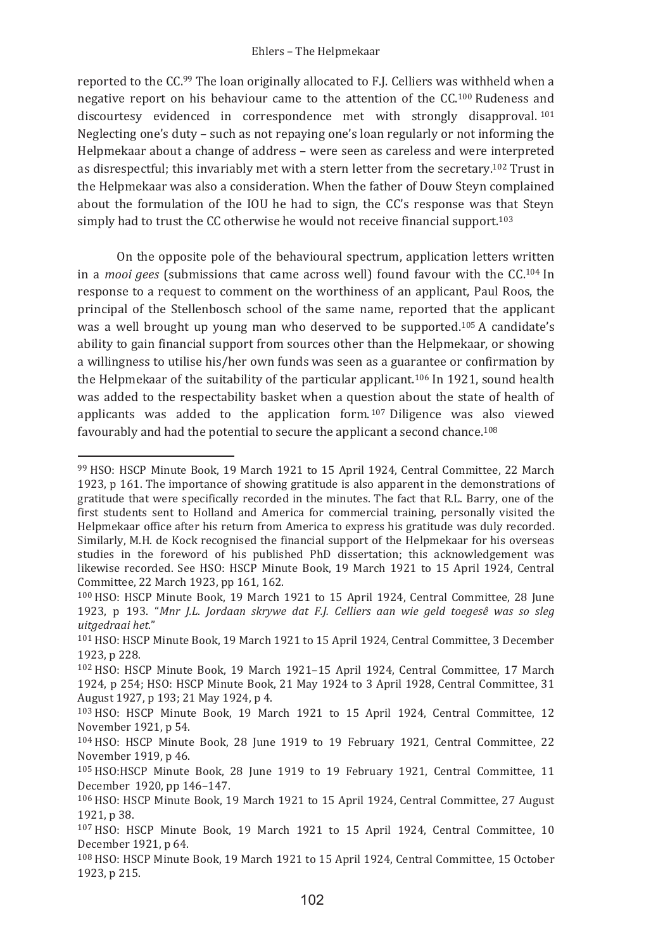#### Ehlers - The Helpmekaar

reported to the CC.<sup>99</sup> The Ioan originally allocated to F.J. Celliers was withheld when a negative report on his behaviour came to the attention of the CC.<sup>100</sup> Rudeness and discourtesy evidenced in correspondence met with strongly disapproval.<sup>101</sup> Neglecting one's duty - such as not repaying one's loan regularly or not informing the Helpmekaar about a change of address - were seen as careless and were interpreted as disrespectful; this invariably met with a stern letter from the secretary.<sup>102</sup> Trust in the Helpmekaar was also a consideration. When the father of Douw Steyn complained about the formulation of the IOU he had to sign, the CC's response was that Steyn simply had to trust the CC otherwise he would not receive financial support.<sup>103</sup>

On the opposite pole of the behavioural spectrum, application letters written in a *mooi gees* (submissions that came across well) found favour with the CC.<sup>104</sup> In response to a request to comment on the worthiness of an applicant, Paul Roos, the principal of the Stellenbosch school of the same name, reported that the applicant was a well brought up young man who deserved to be supported.<sup>105</sup> A candidate's ability to gain financial support from sources other than the Helpmekaar, or showing a willingness to utilise his/her own funds was seen as a guarantee or confirmation by the Helpmekaar of the suitability of the particular applicant.<sup>106</sup> In 1921, sound health was added to the respectability basket when a question about the state of health of applicants was added to the application form.<sup>107</sup> Diligence was also viewed favourably and had the potential to secure the applicant a second chance.<sup>108</sup>

<sup>99</sup> HSO: HSCP Minute Book, 19 March 1921 to 15 April 1924, Central Committee, 22 March 1923, p 161. The importance of showing gratitude is also apparent in the demonstrations of gratitude that were specifically recorded in the minutes. The fact that R.L. Barry, one of the first students sent to Holland and America for commercial training, personally visited the Helpmekaar office after his return from America to express his gratitude was duly recorded. Similarly, M.H. de Kock recognised the financial support of the Helpmekaar for his overseas studies in the foreword of his published PhD dissertation; this acknowledgement was likewise recorded. See HSO: HSCP Minute Book, 19 March 1921 to 15 April 1924, Central Committee, 22 March 1923, pp 161, 162.

<sup>&</sup>lt;sup>100</sup> HSO: HSCP Minute Book, 19 March 1921 to 15 April 1924, Central Committee, 28 June 1923, p<sup>2</sup> 193. "Mnr J.L. Jordaan skrywe dat F.J. Celliers aan wie geld toegesê was so sleg *uitgedraai�het*

<sup>&</sup>lt;sup>101</sup> HSO: HSCP Minute Book. 19 March 1921 to 15 April 1924. Central Committee. 3 December 1923, p 228.

<sup>102</sup> HSO: HSCP Minute Book, 19 March 1921-15 April 1924, Central Committee, 17 March 1924, p 254; HSO: HSCP Minute Book, 21 May 1924 to 3 April 1928, Central Committee, 31 August 1927, p 193; 21 May 1924, p 4.

<sup>&</sup>lt;sup>103</sup> HSO: HSCP Minute Book, 19 March 1921 to 15 April 1924, Central Committee, 12 November 1921, p 54.

<sup>&</sup>lt;sup>104</sup> HSO: HSCP Minute Book, 28 June 1919 to 19 February 1921, Central Committee, 22 November 1919, p 46.

<sup>&</sup>lt;sup>105</sup> HSO:HSCP Minute Book, 28 June 1919 to 19 February 1921, Central Committee, 11 December 1920, pp 146–147.

<sup>106</sup> HSO: HSCP Minute Book, 19 March 1921 to 15 April 1924, Central Committee, 27 August 1921, p 38.

<sup>107</sup> HSO: HSCP Minute Book, 19 March 1921 to 15 April 1924, Central Committee, 10 December 1921, p 64.

<sup>108</sup> HSO: HSCP Minute Book, 19 March 1921 to 15 April 1924, Central Committee, 15 October 1923, p 215.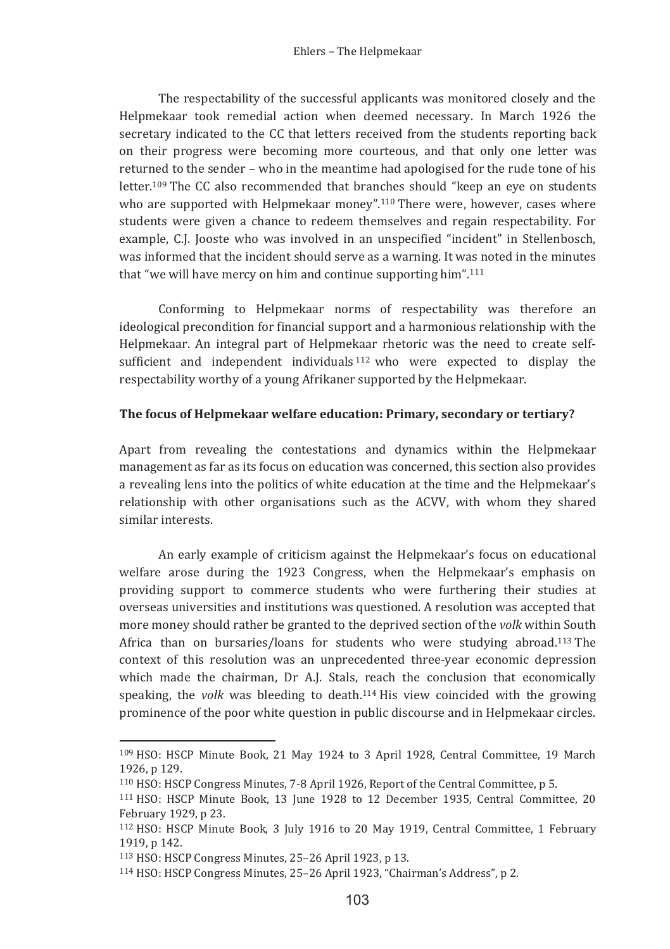The respectability of the successful applicants was monitored closely and the Helpmekaar took remedial action when deemed necessary. In March 1926 the secretary indicated to the CC that letters received from the students reporting back on their progress were becoming more courteous, and that only one letter was returned to the sender - who in the meantime had apologised for the rude tone of his letter.<sup>109</sup> The CC also recommended that branches should "keep an eve on students" who are supported with Helpmekaar money".<sup>110</sup> There were, however, cases where students were given a chance to redeem themselves and regain respectability. For example, C.J. Jooste who was involved in an unspecified "incident" in Stellenbosch, was informed that the incident should serve as a warning. It was noted in the minutes that "we will have mercy on him and continue supporting him".<sup>111</sup>

Conforming to Helpmekaar norms of respectability was therefore an ideological precondition for financial support and a harmonious relationship with the Helpmekaar. An integral part of Helpmekaar rhetoric was the need to create selfsufficient and independent individuals  $112$  who were expected to display the respectability worthy of a young Afrikaner supported by the Helpmekaar.

#### The focus of Helpmekaar welfare education: Primary, secondary or tertiary?

Apart from revealing the contestations and dynamics within the Helpmekaar management as far as its focus on education was concerned, this section also provides a revealing lens into the politics of white education at the time and the Helpmekaar's relationship with other organisations such as the ACVV, with whom they shared similar interests.

An early example of criticism against the Helpmekaar's focus on educational welfare arose during the 1923 Congress, when the Helpmekaar's emphasis on providing support to commerce students who were furthering their studies at overseas universities and institutions was questioned. A resolution was accepted that more money should rather be granted to the deprived section of the volk within South Africa than on bursaries/loans for students who were studying abroad.<sup>113</sup> The context of this resolution was an unprecedented three-year economic depression which made the chairman, Dr A.J. Stals, reach the conclusion that economically speaking, the *volk* was bleeding to death.<sup>114</sup> His view coincided with the growing prominence of the poor white question in public discourse and in Helpmekaar circles.

<sup>109</sup> HSO: HSCP Minute Book, 21 May 1924 to 3 April 1928, Central Committee, 19 March 1926. p 129.

<sup>&</sup>lt;sup>110</sup> HSO: HSCP Congress Minutes, 7-8 April 1926. Report of the Central Committee, p 5.

<sup>&</sup>lt;sup>111</sup> HSO: HSCP Minute Book, 13 June 1928 to 12 December 1935, Central Committee, 20 February 1929, p 23.

<sup>&</sup>lt;sup>112</sup> HSO: HSCP Minute Book, 3 July 1916 to 20 May 1919, Central Committee, 1 February 1919. p 142.

<sup>113</sup> HSO: HSCP Congress Minutes, 25-26 April 1923, p 13.

<sup>&</sup>lt;sup>114</sup> HSO: HSCP Congress Minutes, 25-26 April 1923, "Chairman's Address", p 2.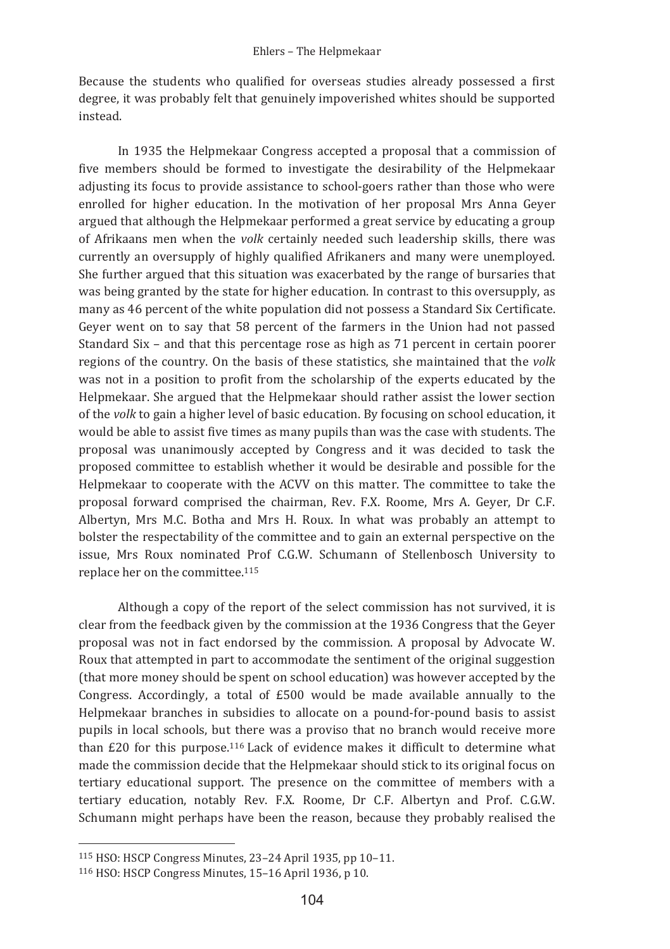Because the students who qualified for overseas studies already possessed a first degree, it was probably felt that genuinely impoverished whites should be supported instead

In 1935 the Helpmekaar Congress accepted a proposal that a commission of five members should be formed to investigate the desirability of the Helpmekaar adjusting its focus to provide assistance to school-goers rather than those who were enrolled for higher education. In the motivation of her proposal Mrs Anna Geyer argued that although the Helpmekaar performed a great service by educating a group of Afrikaans men when the volk certainly needed such leadership skills, there was currently an oversupply of highly qualified Afrikaners and many were unemployed. She further argued that this situation was exacerbated by the range of bursaries that was being granted by the state for higher education. In contrast to this oversupply, as many as 46 percent of the white population did not possess a Standard Six Certificate. Gever went on to say that 58 percent of the farmers in the Union had not passed Standard Six - and that this percentage rose as high as 71 percent in certain poorer regions of the country. On the basis of these statistics, she maintained that the volk was not in a position to profit from the scholarship of the experts educated by the Helpmekaar. She argued that the Helpmekaar should rather assist the lower section of the *volk* to gain a higher level of basic education. By focusing on school education, it would be able to assist five times as many pupils than was the case with students. The proposal was unanimously accepted by Congress and it was decided to task the proposed committee to establish whether it would be desirable and possible for the Helpmekaar to cooperate with the ACVV on this matter. The committee to take the proposal forward comprised the chairman, Rev. F.X. Roome, Mrs A. Gever, Dr C.F. Albertyn, Mrs M.C. Botha and Mrs H. Roux. In what was probably an attempt to bolster the respectability of the committee and to gain an external perspective on the issue, Mrs Roux nominated Prof C.G.W. Schumann of Stellenbosch University to replace her on the committee.<sup>115</sup>

Although a copy of the report of the select commission has not survived, it is clear from the feedback given by the commission at the 1936 Congress that the Geyer proposal was not in fact endorsed by the commission. A proposal by Advocate W. Roux that attempted in part to accommodate the sentiment of the original suggestion (that more money should be spent on school education) was however accepted by the Congress. Accordingly, a total of £500 would be made available annually to the Helpmekaar branches in subsidies to allocate on a pound-for-pound basis to assist pupils in local schools, but there was a proviso that no branch would receive more than £20 for this purpose.<sup>116</sup> Lack of evidence makes it difficult to determine what made the commission decide that the Helpmekaar should stick to its original focus on tertiary educational support. The presence on the committee of members with a tertiary education, notably Rev. F.X. Roome, Dr C.F. Albertyn and Prof. C.G.W. Schumann might perhaps have been the reason, because they probably realised the

<sup>115</sup> HSO: HSCP Congress Minutes, 23-24 April 1935, pp 10-11.

<sup>116</sup> HSO: HSCP Congress Minutes, 15-16 April 1936, p 10.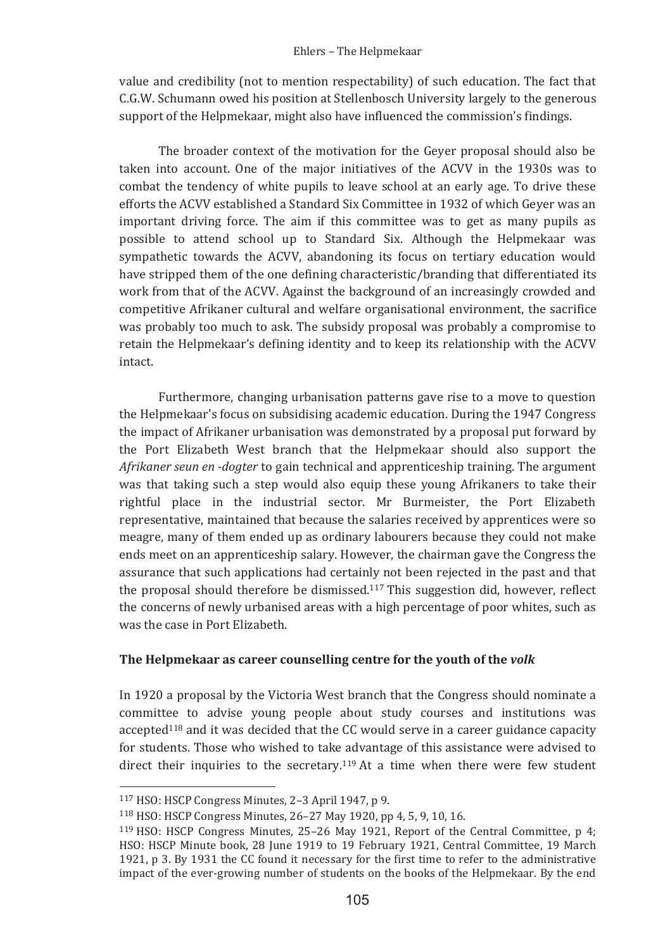value and credibility (not to mention respectability) of such education. The fact that C.G.W. Schumann owed his position at Stellenbosch University largely to the generous support of the Helpmekaar, might also have influenced the commission's findings.

The broader context of the motivation for the Gever proposal should also be taken into account. One of the major initiatives of the ACVV in the 1930s was to combat the tendency of white pupils to leave school at an early age. To drive these efforts the ACVV established a Standard Six Committee in 1932 of which Gever was an important driving force. The aim if this committee was to get as many pupils as possible to attend school up to Standard Six. Although the Helpmekaar was sympathetic towards the ACVV, abandoning its focus on tertiary education would have stripped them of the one defining characteristic/branding that differentiated its work from that of the ACVV. Against the background of an increasingly crowded and competitive Afrikaner cultural and welfare organisational environment, the sacrifice was probably too much to ask. The subsidy proposal was probably a compromise to retain the Helpmekaar's defining identity and to keep its relationship with the ACVV intact

Furthermore, changing urbanisation patterns gave rise to a move to question the Helpmekaar's focus on subsidising academic education. During the 1947 Congress the impact of Afrikaner urbanisation was demonstrated by a proposal put forward by the Port Elizabeth West branch that the Helpmekaar should also support the Afrikaner seun en -doater to gain technical and apprenticeship training. The argument was that taking such a step would also equip these young Afrikaners to take their rightful place in the industrial sector. Mr Burmeister, the Port Elizabeth representative, maintained that because the salaries received by apprentices were so meagre, many of them ended up as ordinary labourers because they could not make ends meet on an apprenticeship salary. However, the chairman gave the Congress the assurance that such applications had certainly not been rejected in the past and that the proposal should therefore be dismissed.<sup>117</sup> This suggestion did, however, reflect the concerns of newly urbanised areas with a high percentage of poor whites, such as was the case in Port Elizabeth

## The Helpmekaar as career counselling centre for the youth of the volk

In 1920 a proposal by the Victoria West branch that the Congress should nominate a committee to advise young people about study courses and institutions was accepted<sup>118</sup> and it was decided that the CC would serve in a career guidance capacity for students. Those who wished to take advantage of this assistance were advised to direct their inquiries to the secretary.<sup>119</sup> At a time when there were few student

<sup>&</sup>lt;sup>117</sup> HSO: HSCP Congress Minutes, 2-3 April 1947, p 9.

<sup>118</sup> HSO: HSCP Congress Minutes, 26-27 May 1920, pp 4, 5, 9, 10, 16.

<sup>&</sup>lt;sup>119</sup> HSO: HSCP Congress Minutes, 25-26 May 1921, Report of the Central Committee, p 4; HSO: HSCP Minute book, 28 June 1919 to 19 February 1921, Central Committee, 19 March 1921, p 3, By 1931 the CC found it necessary for the first time to refer to the administrative impact of the ever-growing number of students on the books of the Helpmekaar. By the end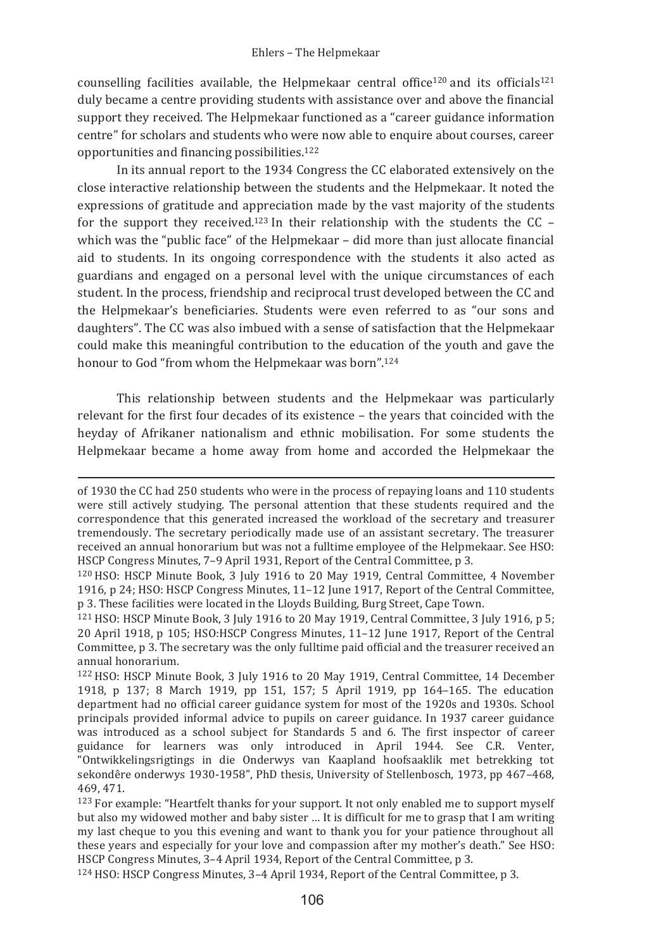counselling facilities available, the Helpmekaar central office<sup>120</sup> and its officials<sup>121</sup> duly became a centre providing students with assistance over and above the financial support they received. The Helpmekaar functioned as a "career guidance information centre" for scholars and students who were now able to enquire about courses, career opportunities and financing possibilities.<sup>122</sup>

In its annual report to the 1934 Congress the CC elaborated extensively on the close interactive relationship between the students and the Helpmekaar. It noted the expressions of gratitude and appreciation made by the vast majority of the students for the support they received.<sup>123</sup> In their relationship with the students the CC which was the "public face" of the Helpmekaar - did more than just allocate financial aid to students. In its ongoing correspondence with the students it also acted as guardians and engaged on a personal level with the unique circumstances of each student. In the process, friendship and reciprocal trust developed between the CC and the Helpmekaar's beneficiaries. Students were even referred to as "our sons and daughters". The CC was also imbued with a sense of satisfaction that the Helpmekaar could make this meaningful contribution to the education of the youth and gave the honour to God "from whom the Helpmekaar was born".<sup>124</sup>

This relationship between students and the Helpmekaar was particularly relevant for the first four decades of its existence – the years that coincided with the heyday of Afrikaner nationalism and ethnic mobilisation. For some students the Helpmekaar became a home away from home and accorded the Helpmekaar the

<sup>124</sup> HSO: HSCP Congress Minutes, 3-4 April 1934, Report of the Central Committee, p 3.

of 1930 the CC had 250 students who were in the process of repaying loans and 110 students were still actively studying. The personal attention that these students required and the correspondence that this generated increased the workload of the secretary and treasurer tremendously. The secretary periodically made use of an assistant secretary. The treasurer received an annual honorarium but was not a fulltime employee of the Helpmekaar. See HSO: HSCP Congress Minutes. 7-9 April 1931. Report of the Central Committee. p 3.

<sup>&</sup>lt;sup>120</sup> HSO: HSCP Minute Book, 3 July 1916 to 20 May 1919, Central Committee, 4 November 1916, p 24; HSO: HSCP Congress Minutes, 11-12 June 1917, Report of the Central Committee, p 3. These facilities were located in the Lloyds Building, Burg Street, Cape Town.

<sup>&</sup>lt;sup>121</sup> HSO: HSCP Minute Book, 3 July 1916 to 20 May 1919, Central Committee, 3 July 1916, p 5; 20 April 1918, p 105: HSO: HSCP Congress Minutes, 11-12 June 1917, Report of the Central Committee, p 3. The secretary was the only fulltime paid official and the treasurer received an annual honorarium.

<sup>&</sup>lt;sup>122</sup> HSO: HSCP Minute Book, 3 July 1916 to 20 May 1919, Central Committee, 14 December 1918, p 137; 8 March 1919, pp 151, 157; 5 April 1919, pp 164-165. The education department had no official career guidance system for most of the 1920s and 1930s. School principals provided informal advice to pupils on career guidance. In 1937 career guidance was introduced as a school subject for Standards 5 and 6. The first inspector of career guidance for learners was only introduced in April 1944. See C.R. Venter, "Ontwikkelingsrigtings in die Onderwys van Kaapland hoofsaaklik met betrekking tot sekondêre onderwys 1930-1958", PhD thesis, University of Stellenbosch, 1973, pp 467-468, 469.471.

<sup>&</sup>lt;sup>123</sup> For example: "Heartfelt thanks for your support. It not only enabled me to support myself but also my widowed mother and baby sister ... It is difficult for me to grasp that I am writing my last cheque to you this evening and want to thank you for your patience throughout all these years and especially for your love and compassion after my mother's death." See HSO: HSCP Congress Minutes. 3-4 April 1934. Report of the Central Committee, p 3.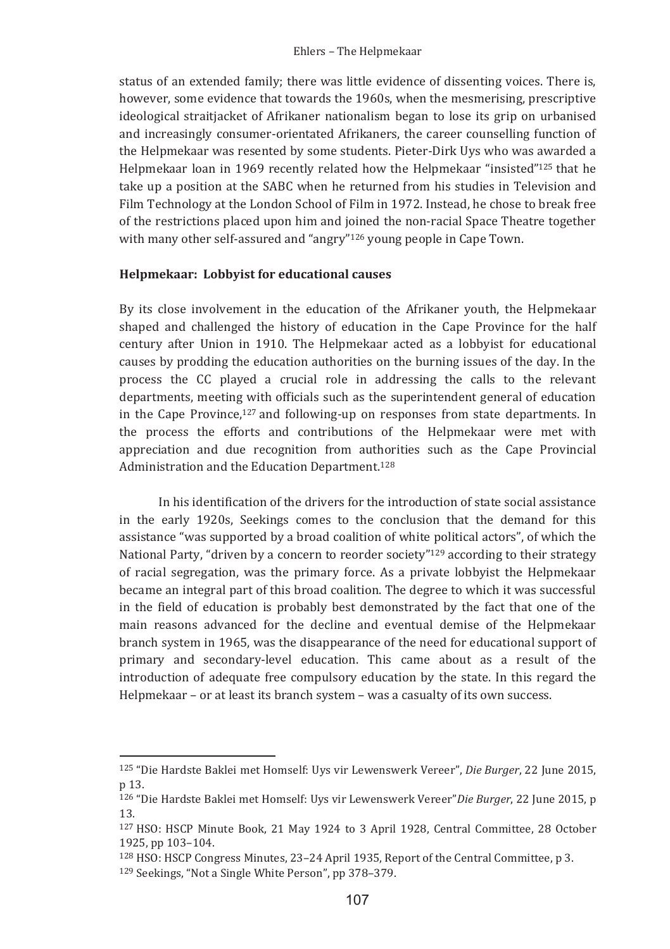status of an extended family; there was little evidence of dissenting voices. There is, however, some evidence that towards the 1960s, when the mesmerising, prescriptive ideological straitjacket of Afrikaner nationalism began to lose its grip on urbanised and increasingly consumer-orientated Afrikaners, the career counselling function of the Helpmekaar was resented by some students. Pieter-Dirk Uys who was awarded a Helpmekaar loan in 1969 recently related how the Helpmekaar "insisted"<sup>125</sup> that he take up a position at the SABC when he returned from his studies in Television and Film Technology at the London School of Film in 1972. Instead, he chose to break free of the restrictions placed upon him and joined the non-racial Space Theatre together with many other self-assured and "angry"<sup>126</sup> young people in Cape Town.

### Helpmekaar: Lobbyist for educational causes

By its close involvement in the education of the Afrikaner youth, the Helpmekaar shaped and challenged the history of education in the Cape Province for the half century after Union in 1910. The Helpmekaar acted as a lobbyist for educational causes by prodding the education authorities on the burning issues of the day. In the process the CC played a crucial role in addressing the calls to the relevant departments, meeting with officials such as the superintendent general of education in the Cape Province,  $127$  and following-up on responses from state departments. In the process the efforts and contributions of the Helpmekaar were met with appreciation and due recognition from authorities such as the Cape Provincial Administration and the Education Department.<sup>128</sup>

In his identification of the drivers for the introduction of state social assistance in the early 1920s. Seekings comes to the conclusion that the demand for this assistance "was supported by a broad coalition of white political actors", of which the National Party, "driven by a concern to reorder society"<sup>129</sup> according to their strategy of racial segregation, was the primary force. As a private lobbyist the Helpmekaar became an integral part of this broad coalition. The degree to which it was successful in the field of education is probably best demonstrated by the fact that one of the main reasons advanced for the decline and eventual demise of the Helpmekaar branch system in 1965, was the disappearance of the need for educational support of primary and secondary-level education. This came about as a result of the introduction of adequate free compulsory education by the state. In this regard the Helpmekaar - or at least its branch system - was a casualty of its own success.

<sup>&</sup>lt;sup>125</sup> "Die Hardste Baklei met Homself: Uys vir Lewenswerk Vereer", Die Burger, 22 June 2015, n 13.

<sup>126 &</sup>quot;Die Hardste Baklei met Homself: Uys vir Lewenswerk Vereer" Die Burger, 22 June 2015, p.  $13$ 

<sup>&</sup>lt;sup>127</sup> HSO: HSCP Minute Book, 21 May 1924 to 3 April 1928, Central Committee, 28 October 1925. pp 103-104.

<sup>&</sup>lt;sup>128</sup> HSO: HSCP Congress Minutes, 23-24 April 1935, Report of the Central Committee, p 3.

<sup>&</sup>lt;sup>129</sup> Seekings, "Not a Single White Person", pp 378-379.